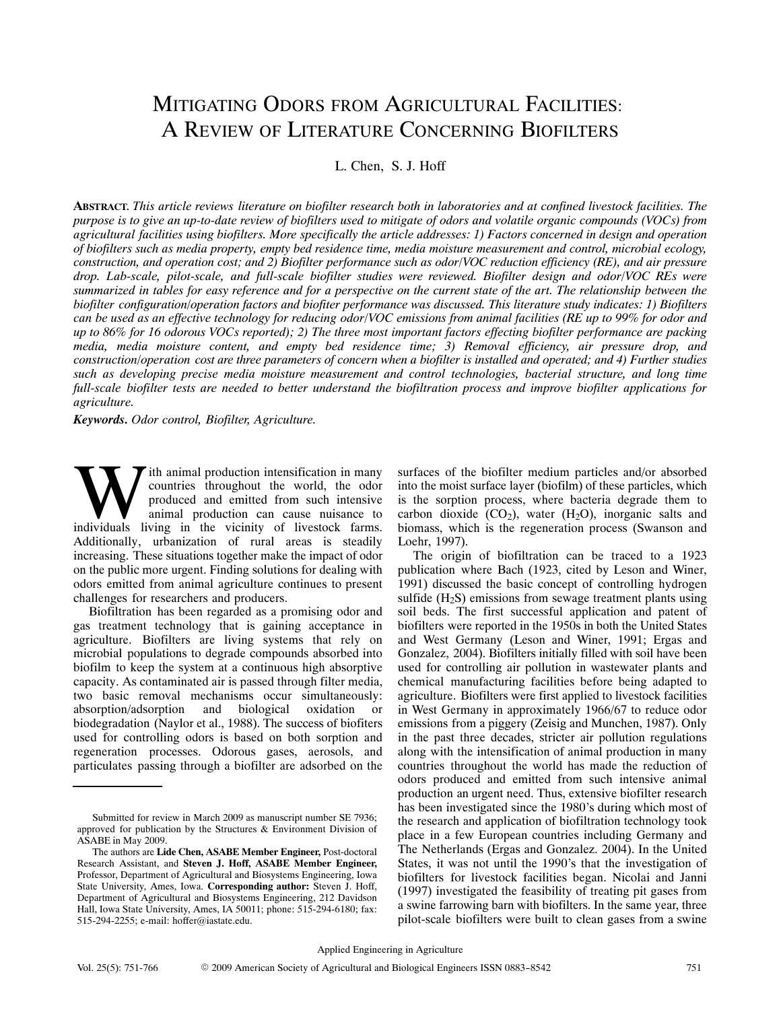# MITIGATING ODORS FROM AGRICULTURAL FACILITIES: A REVIEW OF LITERATURE CONCERNING BIOFILTERS

L. Chen, S. J. Hoff

**ABSTRACT.** *This article reviews literature on biofilter research both in laboratories and at confined livestock facilities. The purpose is to give an up‐to‐date review of biofilters used to mitigate of odors and volatile organic compounds (VOCs) from agricultural facilities using biofilters. More specifically the article addresses: 1) Factors concerned in design and operation of biofilters such as media property, empty bed residence time, media moisture measurement and control, microbial ecology, construction, and operation cost; and 2) Biofilter performance such as odor/VOC reduction efficiency (RE), and air pressure drop. Lab‐scale, pilot‐scale, and full‐scale biofilter studies were reviewed. Biofilter design and odor/VOC REs were summarized in tables for easy reference and for a perspective on the current state of the art. The relationship between the biofilter configuration/operation factors and biofiter performance was discussed. This literature study indicates: 1) Biofilters can be used as an effective technology for reducing odor/VOC emissions from animal facilities (RE up to 99% for odor and up to 86% for 16 odorous VOCs reported); 2) The three most important factors effecting biofilter performance are packing media, media moisture content, and empty bed residence time; 3) Removal efficiency, air pressure drop, and construction/operation cost are three parameters of concern when a biofilter is installed and operated; and 4) Further studies such as developing precise media moisture measurement and control technologies, bacterial structure, and long time full‐scale biofilter tests are needed to better understand the biofiltration process and improve biofilter applications for agriculture.*

*Keywords. Odor control, Biofilter, Agriculture.*

ith animal production intensification in many countries throughout the world, the odor produced and emitted from such intensive animal production can cause nuisance to **i** th animal production intensification in many countries throughout the world, the odor produced and emitted from such intensive animal production can cause nuisance to individuals living in the vicinity of livestock far Additionally, urbanization of rural areas is steadily increasing. These situations together make the impact of odor on the public more urgent. Finding solutions for dealing with odors emitted from animal agriculture continues to present challenges for researchers and producers.

Biofiltration has been regarded as a promising odor and gas treatment technology that is gaining acceptance in agriculture. Biofilters are living systems that rely on microbial populations to degrade compounds absorbed into biofilm to keep the system at a continuous high absorptive capacity. As contaminated air is passed through filter media, two basic removal mechanisms occur simultaneously: absorption/adsorption and biological oxidation or biodegradation (Naylor et al., 1988). The success of biofiters used for controlling odors is based on both sorption and regeneration processes. Odorous gases, aerosols, and particulates passing through a biofilter are adsorbed on the surfaces of the biofilter medium particles and/or absorbed into the moist surface layer (biofilm) of these particles, which is the sorption process, where bacteria degrade them to carbon dioxide  $(CO_2)$ , water  $(H_2O)$ , inorganic salts and biomass, which is the regeneration process (Swanson and Loehr, 1997).

The origin of biofiltration can be traced to a 1923 publication where Bach (1923, cited by Leson and Winer, 1991) discussed the basic concept of controlling hydrogen sulfide  $(H_2S)$  emissions from sewage treatment plants using soil beds. The first successful application and patent of biofilters were reported in the 1950s in both the United States and West Germany (Leson and Winer, 1991; Ergas and Gonzalez, 2004). Biofilters initially filled with soil have been used for controlling air pollution in wastewater plants and chemical manufacturing facilities before being adapted to agriculture. Biofilters were first applied to livestock facilities in West Germany in approximately 1966/67 to reduce odor emissions from a piggery (Zeisig and Munchen, 1987). Only in the past three decades, stricter air pollution regulations along with the intensification of animal production in many countries throughout the world has made the reduction of odors produced and emitted from such intensive animal production an urgent need. Thus, extensive biofilter research has been investigated since the 1980's during which most of the research and application of biofiltration technology took place in a few European countries including Germany and The Netherlands (Ergas and Gonzalez. 2004). In the United States, it was not until the 1990's that the investigation of biofilters for livestock facilities began. Nicolai and Janni (1997) investigated the feasibility of treating pit gases from a swine farrowing barn with biofilters. In the same year, three pilot‐scale biofilters were built to clean gases from a swine

Submitted for review in March 2009 as manuscript number SE 7936; approved for publication by the Structures & Environment Division of ASABE in May 2009.

The authors are **Lide Chen, ASABE Member Engineer,** Post‐doctoral Research Assistant, and **Steven J. Hoff, ASABE Member Engineer,** Professor, Department of Agricultural and Biosystems Engineering, Iowa State University, Ames, Iowa. **Corresponding author:** Steven J. Hoff, Department of Agricultural and Biosystems Engineering, 212 Davidson Hall, Iowa State University, Ames, IA 50011; phone: 515‐294‐6180; fax: 515‐294‐2255; e‐mail: hoffer@iastate.edu.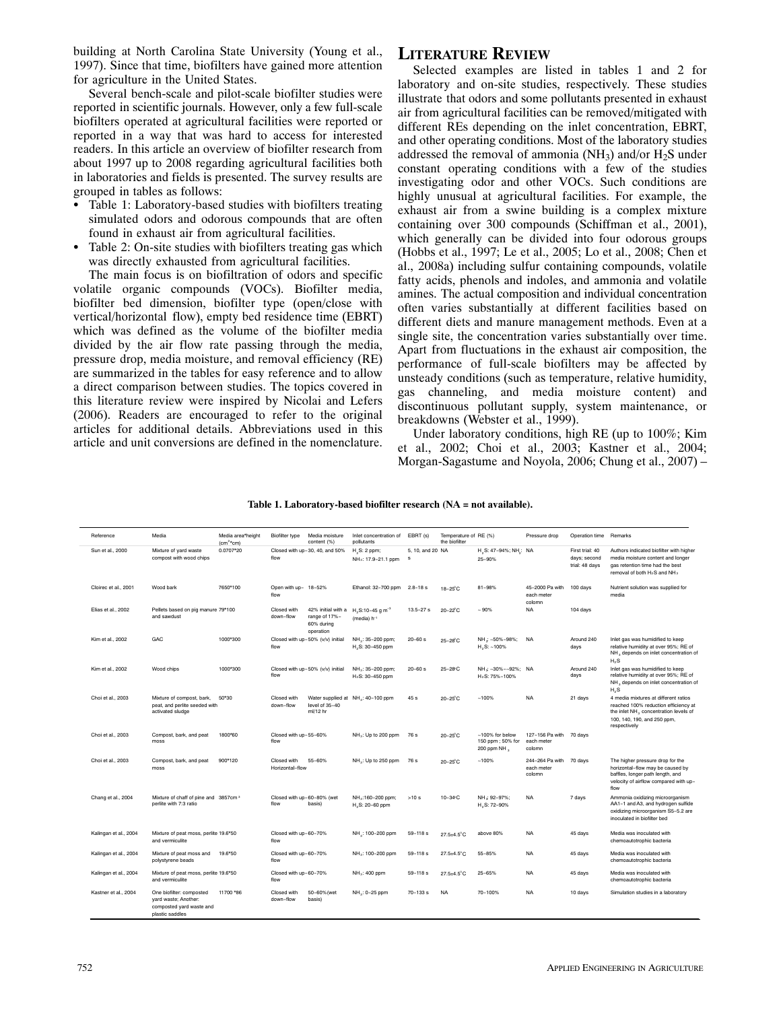building at North Carolina State University (Young et al., 1997). Since that time, biofilters have gained more attention for agriculture in the United States.

Several bench‐scale and pilot‐scale biofilter studies were reported in scientific journals. However, only a few full‐scale biofilters operated at agricultural facilities were reported or reported in a way that was hard to access for interested readers. In this article an overview of biofilter research from about 1997 up to 2008 regarding agricultural facilities both in laboratories and fields is presented. The survey results are grouped in tables as follows:

- $\overrightarrow{ }$  Table 1: Laboratory-based studies with biofilters treating simulated odors and odorous compounds that are often found in exhaust air from agricultural facilities.
- Table 2: On-site studies with biofilters treating gas which was directly exhausted from agricultural facilities.

The main focus is on biofiltration of odors and specific volatile organic compounds (VOCs). Biofilter media, biofilter bed dimension, biofilter type (open/close with vertical/horizontal flow), empty bed residence time (EBRT) which was defined as the volume of the biofilter media divided by the air flow rate passing through the media, pressure drop, media moisture, and removal efficiency (RE) are summarized in the tables for easy reference and to allow a direct comparison between studies. The topics covered in this literature review were inspired by Nicolai and Lefers (2006). Readers are encouraged to refer to the original articles for additional details. Abbreviations used in this article and unit conversions are defined in the nomenclature.

# **LITERATURE REVIEW**

Selected examples are listed in tables 1 and 2 for laboratory and on‐site studies, respectively. These studies illustrate that odors and some pollutants presented in exhaust air from agricultural facilities can be removed/mitigated with different REs depending on the inlet concentration, EBRT, and other operating conditions. Most of the laboratory studies addressed the removal of ammonia (NH3) and/or H2S under constant operating conditions with a few of the studies investigating odor and other VOCs. Such conditions are highly unusual at agricultural facilities. For example, the exhaust air from a swine building is a complex mixture containing over 300 compounds (Schiffman et al., 2001), which generally can be divided into four odorous groups (Hobbs et al., 1997; Le et al., 2005; Lo et al., 2008; Chen et al., 2008a) including sulfur containing compounds, volatile fatty acids, phenols and indoles, and ammonia and volatile amines. The actual composition and individual concentration often varies substantially at different facilities based on different diets and manure management methods. Even at a single site, the concentration varies substantially over time. Apart from fluctuations in the exhaust air composition, the performance of full‐scale biofilters may be affected by unsteady conditions (such as temperature, relative humidity, gas channeling, and media moisture content) and discontinuous pollutant supply, system maintenance, or breakdowns (Webster et al., 1999).

Under laboratory conditions, high RE (up to 100%; Kim et al., 2002; Choi et al., 2003; Kastner et al., 2004; Morgan‐Sagastume and Noyola, 2006; Chung et al., 2007) –

#### **Table 1. Laboratory‐based biofilter research (NA = not available).**

| Reference             | Media                                                                                           | Media area*height<br>$(cm^2*cm)$ | Biofilter type                 | Media moisture<br>content (%)                                  | Inlet concentration of<br>pollutants                | EBRT (s)              | Temperature of RE (%)<br>the biofilter |                                                          | Pressure drop                                   | Operation time Remarks                            |                                                                                                                                                                                  |
|-----------------------|-------------------------------------------------------------------------------------------------|----------------------------------|--------------------------------|----------------------------------------------------------------|-----------------------------------------------------|-----------------------|----------------------------------------|----------------------------------------------------------|-------------------------------------------------|---------------------------------------------------|----------------------------------------------------------------------------------------------------------------------------------------------------------------------------------|
| Sun et al., 2000      | Mixture of yard waste<br>compost with wood chips                                                | 0.0707*20                        | flow                           | Closed with up-30, 40, and 50%                                 | H, S: 2 ppm;<br>NH <sub>3</sub> : 17.9-21.1 ppm     | 5, 10, and 20 NA<br>s |                                        | H <sub>2</sub> S: 47-94%; NH <sub>2</sub> : NA<br>25-90% |                                                 | First trial: 40<br>days; second<br>trial: 48 days | Authors indicated biofilter with higher<br>media moisture content and longer<br>gas retention time had the best<br>removal of both H <sub>2</sub> S and NH <sub>3</sub>          |
| Cloirec et al., 2001  | Wood bark                                                                                       | 7650*100                         | Open with up- 18-52%<br>flow   |                                                                | Ethanol: 32-700 ppm                                 | $2.8 - 18s$           | $18-25^{\circ}$ C                      | 81-98%                                                   | 45-2000 Pa with<br>each meter<br>colomn         | 100 days                                          | Nutrient solution was supplied for<br>media                                                                                                                                      |
| Elias et al., 2002    | Pellets based on pig manure 79*100<br>and sawdust                                               |                                  | Closed with<br>down-flow       | 42% initial with a<br>range of 17%-<br>60% during<br>operation | $H2 S:10-45 g m-3$<br>(media) h-1                   | $13.5 - 27s$          | 20-22 <sup>°</sup> C                   | $-90%$                                                   | <b>NA</b>                                       | 104 days                                          |                                                                                                                                                                                  |
| Kim et al., 2002      | GAC                                                                                             | 1000*300                         | flow                           | Closed with up-50% (v/v) initial                               | NH <sub>2</sub> : 35-200 ppm;<br>H., S: 30-450 ppm  | $20 - 60 s$           | 25-28 <sup>°</sup> C                   | NH .: ~50%-98%;<br>$H, S: -100\%$                        | <b>NA</b>                                       | Around 240<br>davs                                | Inlet gas was humidified to keep<br>relative humidity at over 95%: RE of<br>NH <sub>3</sub> depends on inlet concentration of<br>$H_2S$                                          |
| Kim et al., 2002      | Wood chips                                                                                      | 1000*300                         | flow                           | Closed with up-50% (v/v) initial                               | NH <sub>3</sub> : 35-200 ppm;<br>$H_2S: 30-450$ ppm | $20 - 60 s$           | 25-28°C                                | NH < - 30% - - 92%: NA<br>$H_2S$ : 75%-100%              |                                                 | Around 240<br>days                                | Inlet gas was humidified to keep<br>relative humidity at over 95%; RE of<br>NH <sub>3</sub> depends on inlet concentration of<br>$H_2S$                                          |
| Choi et al., 2003     | Mixture of compost, bark,<br>peat, and perlite seeded with<br>activated sludge                  | 50*30                            | Closed with<br>down-flow       | level of 35-40<br>$mI/12$ hr                                   | Water supplied at NH <sub>3</sub> : 40-100 ppm      | 45 s                  | 20-25 <sup>°</sup> C                   | $-100%$                                                  | <b>NA</b>                                       | 21 days                                           | 4 media mixtures at different ratios<br>reached 100% reduction efficiency at<br>the inlet NH <sub>3</sub> concentration levels of<br>100, 140, 190, and 250 ppm,<br>respectively |
| Choi et al., 2003     | Compost, bark, and peat<br>moss                                                                 | 1800*60                          | Closed with up-55-60%<br>flow  |                                                                | NH <sub>3</sub> : Up to 200 ppm                     | 76 s                  | $20 - 25C$                             | ~100% for below<br>150 ppm; 50% for<br>200 ppm NH 3      | 127-156 Pa with 70 days<br>each meter<br>colomn |                                                   |                                                                                                                                                                                  |
| Choi et al., 2003     | Compost, bark, and peat<br>moss                                                                 | 900*120                          | Closed with<br>Horizontal-flow | 55-60%                                                         | NH <sub>3</sub> : Up to 250 ppm                     | 76 s                  | 20-25 <sup>°</sup> C                   | $-100%$                                                  | 244-264 Pa with<br>each meter<br>colomn         | 70 days                                           | The higher pressure drop for the<br>horizontal-flow may be caused by<br>baffles, longer path length, and<br>velocity of airflow compared with up-<br>flow                        |
| Chang et al., 2004    | Mixture of chaff of pine and 3857cm <sup>3</sup><br>perlite with 7:3 ratio                      |                                  | flow                           | Closed with up-60-80% (wet<br>basis)                           | NH <sub>3</sub> :160-200 ppm;<br>H.S: 20-60 ppm     | >10s                  | $10 - 34$ °C                           | NH < 92-97%:<br>H.S: 72-90%                              | <b>NA</b>                                       | 7 days                                            | Ammonia oxidizing microorganism<br>AA1-1 and A3, and hydrogen sulfide<br>oxidizing microorganism S5-5.2 are<br>inoculated in biofilter bed                                       |
| Kalingan et al., 2004 | Mixture of peat moss, perlite 19.6*50<br>and vermiculite                                        |                                  | Closed with up-60-70%<br>flow  |                                                                | NH <sub>3</sub> : 100-200 ppm                       | $59 - 118s$           | 27.5±4.5°C                             | above 80%                                                | <b>NA</b>                                       | 45 days                                           | Media was inoculated with<br>chemoautotrophic bacteria                                                                                                                           |
| Kalingan et al., 2004 | Mixture of peat moss and<br>polystyrene beads                                                   | 19.6*50                          | Closed with up-60-70%<br>flow  |                                                                | NH <sub>3</sub> : 100-200 ppm                       | $59 - 118s$           | $27.5 \pm 4.5^{\circ}$ C               | 55-85%                                                   | <b>NA</b>                                       | 45 days                                           | Media was inoculated with<br>chemoautotrophic bacteria                                                                                                                           |
| Kalingan et al., 2004 | Mixture of peat moss, perlite 19.6*50<br>and vermiculite                                        |                                  | Closed with up-60-70%<br>flow  |                                                                | NH <sub>3</sub> : 400 ppm                           | $59 - 118s$           | $27.5 \pm 4.5^{\circ}$ C               | $25 - 65%$                                               | <b>NA</b>                                       | 45 days                                           | Media was inoculated with<br>chemoautotrophic bacteria                                                                                                                           |
| Kastner et al., 2004  | One biofilter: composted<br>yard waste; Another:<br>composted yard waste and<br>plastic saddles | 11700 *86                        | Closed with<br>down-flow       | 50-60% (wet<br>basis)                                          | NH <sub>3</sub> : 0-25 ppm                          | $70 - 133$ s          | <b>NA</b>                              | 70-100%                                                  | <b>NA</b>                                       | 10 days                                           | Simulation studies in a laboratory                                                                                                                                               |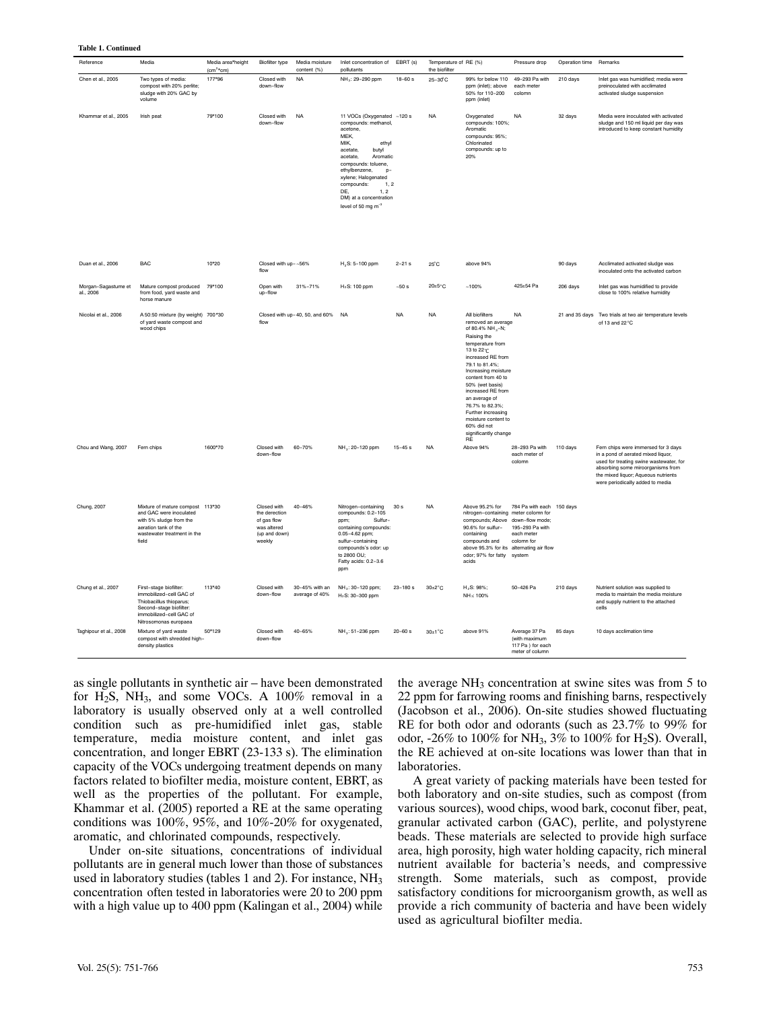| Reference                        | Media                                                                                                                                                       | Media area*height<br>$(cm2*cm)$ | Biofilter type                                                                        | Media moisture<br>content (%)    | Inlet concentration of<br>pollutants                                                                                                                                                                                                                                                                     | EBRT (s)            | Temperature of RE (%)<br>the biofilter |                                                                                                                                                                                                                                                                                                                                                                                         | Pressure drop                                                            | Operation time Remarks |                                                                                                                                                                                                                                      |
|----------------------------------|-------------------------------------------------------------------------------------------------------------------------------------------------------------|---------------------------------|---------------------------------------------------------------------------------------|----------------------------------|----------------------------------------------------------------------------------------------------------------------------------------------------------------------------------------------------------------------------------------------------------------------------------------------------------|---------------------|----------------------------------------|-----------------------------------------------------------------------------------------------------------------------------------------------------------------------------------------------------------------------------------------------------------------------------------------------------------------------------------------------------------------------------------------|--------------------------------------------------------------------------|------------------------|--------------------------------------------------------------------------------------------------------------------------------------------------------------------------------------------------------------------------------------|
| Chen et al., 2005                | Two types of media:<br>compost with 20% perlite;<br>sludge with 20% GAC by<br>volume                                                                        | 177*96                          | Closed with<br>down-flow                                                              | <b>NA</b>                        | NH <sub>3</sub> : 29-290 ppm                                                                                                                                                                                                                                                                             | $18 - 60 s$         | 25-30°C                                | 99% for below 110<br>ppm (inlet); above<br>50% for 110-200<br>ppm (inlet)                                                                                                                                                                                                                                                                                                               | 49-293 Pa with<br>each meter<br>colomn                                   | 210 days               | Inlet gas was humidified; media were<br>preinoculated with acclimated<br>activated sludge suspension                                                                                                                                 |
| Khammar et al., 2005             | Irish peat                                                                                                                                                  | 79*100                          | Closed with<br>down-flow                                                              | <b>NA</b>                        | 11 VOCs (Oxygenated ~120 s<br>compounds: methanol,<br>acetone.<br>MEK,<br>MIK,<br>ethvl<br>acetate<br>butvl<br>acetate,<br>Aromatic<br>compounds: toluene.<br>ethylbenzene,<br>p-<br>xylene; Halogenated<br>compounds:<br>1, 2<br>DE,<br>1.2<br>DM) at a concentration<br>level of 50 mg m <sup>-3</sup> |                     | <b>NA</b>                              | Oxygenated<br>compounds: 100%;<br>Aromatic<br>compounds: 95%;<br>Chlorinated<br>compounds: up to<br>20%                                                                                                                                                                                                                                                                                 | <b>NA</b>                                                                | 32 days                | Media were inoculated with activated<br>sludge and 150 ml liquid per day was<br>introduced to keep constant humidity                                                                                                                 |
| Duan et al., 2006                | <b>BAC</b>                                                                                                                                                  | 10*20                           | Closed with up-~56%<br>flow                                                           |                                  | $H_2S: 5-100$ ppm                                                                                                                                                                                                                                                                                        | $2 - 21$ s          | 25°C                                   | above 94%                                                                                                                                                                                                                                                                                                                                                                               |                                                                          | 90 days                | Acclimated activated sludge was<br>inoculated onto the activated carbon                                                                                                                                                              |
| Morgan-Sagastume et<br>al., 2006 | Mature compost produced<br>from food, yard waste and<br>horse manure                                                                                        | 79*100                          | Open with<br>up-flow                                                                  | 31%-71%                          | $H_2S$ : 100 ppm                                                                                                                                                                                                                                                                                         | ${\sim}50~\text{s}$ | $20\pm5$ °C                            | $-100%$                                                                                                                                                                                                                                                                                                                                                                                 | 425±54 Pa                                                                | 206 days               | Inlet gas was humidified to provide<br>close to 100% relative humidity                                                                                                                                                               |
| Nicolai et al., 2006             | A 50:50 mixture (by weight) 700*30<br>of yard waste compost and<br>wood chips                                                                               |                                 | flow                                                                                  | Closed with up-40, 50, and 60%   | <b>NA</b>                                                                                                                                                                                                                                                                                                | <b>NA</b>           | <b>NA</b>                              | All biofilters<br>removed an average<br>of 80.4% NH <sub>3</sub> -N;<br>Raising the<br>temperature from<br>13 to 22 °C<br>increased RE from<br>79.1 to 81.4%:<br>Increasing moisture<br>content from 40 to<br>50% (wet basis)<br>increased RE from<br>an average of<br>76.7% to 82.3%;<br>Further increasing<br>moisture content to<br>60% did not<br>significantly change<br><b>RF</b> | <b>NA</b>                                                                |                        | 21 and 35 days Two trials at two air temperature levels<br>of 13 and 22°C                                                                                                                                                            |
| Chou and Wang, 2007              | Fern chips                                                                                                                                                  | 1600*70                         | Closed with<br>down-flow                                                              | 60-70%                           | NH <sub>3</sub> : 20-120 ppm                                                                                                                                                                                                                                                                             | $15 - 45 s$         | <b>NA</b>                              | Above 94%                                                                                                                                                                                                                                                                                                                                                                               | 28-293 Pa with<br>each meter of<br>colomn                                | 110 days               | Fern chips were immersed for 3 days<br>in a pond of aerated mixed liquor,<br>used for treating swine wastewater, for<br>absorbing some miroorganisms from<br>the mixed liquor; Aqueous nutrients<br>were periodically added to media |
| Chung, 2007                      | Mixture of mature compost 113*30<br>and GAC were inoculated<br>with 5% sludge from the<br>aeration tank of the<br>wastewater treatment in the<br>field      |                                 | Closed with<br>the derection<br>of gas flow<br>was altered<br>(up and down)<br>weekly | 40-46%                           | Nitrogen-containing<br>compounds: 0.2-105<br>Sulfur-<br>ppm;<br>containing compounds:<br>0.05-4.62 ppm;<br>sulfur-containing<br>compounds's odor: up<br>to 2800 OU;<br>Fatty acids: 0.2-3.6<br>ppm                                                                                                       | 30 <sub>s</sub>     | <b>NA</b>                              | Above 95.2% for<br>nitrogen-containing meter colomn for<br>compounds; Above down-flow mode;<br>90.6% for sulfur-<br>containing<br>compounds and<br>above 95.3% for its alternating air flow<br>odor; 97% for fatty system<br>acids                                                                                                                                                      | 784 Pa with each 150 days<br>195-293 Pa with<br>each meter<br>colomn for |                        |                                                                                                                                                                                                                                      |
| Chung et al., 2007               | First-stage biofilter:<br>immobilized-cell GAC of<br>Thiobacillus thioparus;<br>Second-stage biofilter:<br>immobilized-cell GAC of<br>Nitrosomonas europaea | 113*40                          | Closed with<br>down-flow                                                              | 30-45% with an<br>average of 40% | NH <sub>3</sub> : 30-120 ppm;<br>H <sub>2</sub> S: 30-300 ppm                                                                                                                                                                                                                                            | $23 - 180 s$        | $30\pm2^{\circ}$ C                     | H <sub>2</sub> S: 98%;<br>NH <sub>3</sub> : 100%                                                                                                                                                                                                                                                                                                                                        | 50-426 Pa                                                                | 210 days               | Nutrient solution was supplied to<br>media to maintain the media moisture<br>and supply nutrient to the attached<br>cells                                                                                                            |
| Taghipour et al., 2008           | Mixture of yard waste<br>compost with shredded high-<br>density plastics                                                                                    | 50*129                          | Closed with<br>down-flow                                                              | 40-65%                           | NH <sub>3</sub> : 51-236 ppm                                                                                                                                                                                                                                                                             | $20 - 60 s$         | $30\pm1^{\circ}$ C                     | above 91%                                                                                                                                                                                                                                                                                                                                                                               | Average 37 Pa<br>(with maximum<br>117 Pa) for each<br>meter of column    | 85 days                | 10 days acclimation time                                                                                                                                                                                                             |

as single pollutants in synthetic air – have been demonstrated for H<sub>2</sub>S, NH<sub>3</sub>, and some VOCs. A  $100\%$  removal in a laboratory is usually observed only at a well controlled condition such as pre‐humidified inlet gas, stable temperature, media moisture content, and inlet gas concentration, and longer EBRT (23‐133 s). The elimination capacity of the VOCs undergoing treatment depends on many factors related to biofilter media, moisture content, EBRT, as well as the properties of the pollutant. For example, Khammar et al. (2005) reported a RE at the same operating conditions was 100%, 95%, and 10%‐20% for oxygenated, aromatic, and chlorinated compounds, respectively.

Under on‐site situations, concentrations of individual pollutants are in general much lower than those of substances used in laboratory studies (tables 1 and 2). For instance,  $NH<sub>3</sub>$ concentration often tested in laboratories were 20 to 200 ppm with a high value up to 400 ppm (Kalingan et al., 2004) while

the average  $NH_3$  concentration at swine sites was from 5 to 22 ppm for farrowing rooms and finishing barns, respectively (Jacobson et al., 2006). On‐site studies showed fluctuating RE for both odor and odorants (such as 23.7% to 99% for odor,  $-26\%$  to  $100\%$  for NH<sub>3</sub>,  $3\%$  to  $100\%$  for H<sub>2</sub>S). Overall, the RE achieved at on‐site locations was lower than that in laboratories.

A great variety of packing materials have been tested for both laboratory and on‐site studies, such as compost (from various sources), wood chips, wood bark, coconut fiber, peat, granular activated carbon (GAC), perlite, and polystyrene beads. These materials are selected to provide high surface area, high porosity, high water holding capacity, rich mineral nutrient available for bacteria's needs, and compressive strength. Some materials, such as compost, provide satisfactory conditions for microorganism growth, as well as provide a rich community of bacteria and have been widely used as agricultural biofilter media.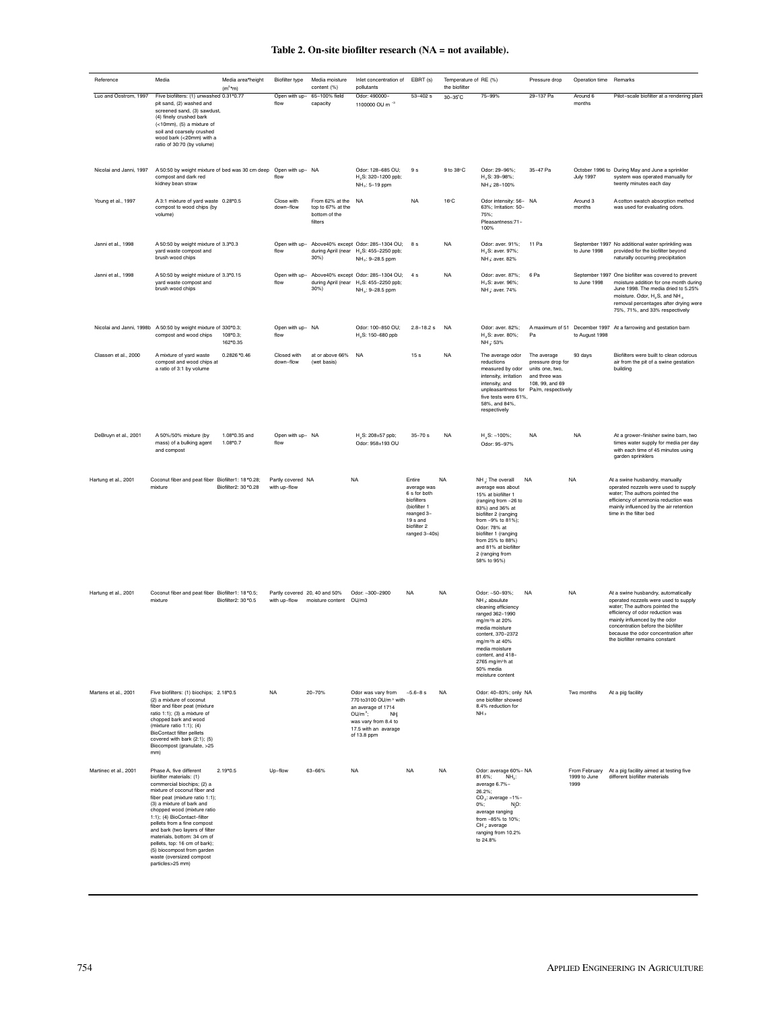|  |  |  |  |  |  | Table 2. On-site biofilter research (NA = not available). |
|--|--|--|--|--|--|-----------------------------------------------------------|
|--|--|--|--|--|--|-----------------------------------------------------------|

| Reference               | Media                                                                                                                                                                                                                                                                                                                                                                                                                                                          | Media area*height<br>$(m^2 \star m)$ | Biofilter type                    | Media moisture<br>content (%)                                       | Inlet concentration of<br>pollutants                                                                                                                             | EBRT (s)                                                                                                                                 | Temperature of RE (%)<br>the biofilter |                                                                                                                                                                                                                                                                                      | Pressure drop                                                                                                 | Operation time Remarks |                                                                                                                                                                                                                                                                                                    |
|-------------------------|----------------------------------------------------------------------------------------------------------------------------------------------------------------------------------------------------------------------------------------------------------------------------------------------------------------------------------------------------------------------------------------------------------------------------------------------------------------|--------------------------------------|-----------------------------------|---------------------------------------------------------------------|------------------------------------------------------------------------------------------------------------------------------------------------------------------|------------------------------------------------------------------------------------------------------------------------------------------|----------------------------------------|--------------------------------------------------------------------------------------------------------------------------------------------------------------------------------------------------------------------------------------------------------------------------------------|---------------------------------------------------------------------------------------------------------------|------------------------|----------------------------------------------------------------------------------------------------------------------------------------------------------------------------------------------------------------------------------------------------------------------------------------------------|
| Luo and Oostrom, 1997   | Five biofilters: (1) unwashed 0.31*0.77<br>pit sand, (2) washed and<br>screened sand, (3) sawdust,<br>(4) finely crushed bark<br>(<10mm), (5) a mixture of<br>soil and coarsely crushed<br>wood bark (<20mm) with a<br>ratio of 30:70 (by volume)                                                                                                                                                                                                              |                                      | Open with up-<br>flow             | 65-100% field<br>capacity                                           | Odor: 490000-<br>1100000 OU m <sup>-3</sup>                                                                                                                      | $53 - 402s$                                                                                                                              | 30-35°C                                | 75-99%                                                                                                                                                                                                                                                                               | 29-137 Pa                                                                                                     | Around 6<br>months     | Pilot-scale biofilter at a rendering plant                                                                                                                                                                                                                                                         |
| Nicolai and Janni, 1997 | A 50:50 by weight mixture of bed was 30 cm deep<br>compost and dark red<br>kidney bean straw                                                                                                                                                                                                                                                                                                                                                                   |                                      | Open with up- NA<br>flow          |                                                                     | Odor: 128-685 OU;<br>H <sub>2</sub> S: 320-1200 ppb;<br>NH <sub>3</sub> : 5-19 ppm                                                                               | 9 <sub>s</sub>                                                                                                                           | 9 to 38°C                              | Odor: 29-96%;<br>H <sub>2</sub> S: 39-98%;<br>NH <sub>3</sub> 28-100%                                                                                                                                                                                                                | 35-47 Pa                                                                                                      | <b>July 1997</b>       | October 1996 to During May and June a sprinkler<br>system was operated manually for<br>twenty minutes each day                                                                                                                                                                                     |
| Young et al., 1997      | A 3:1 mixture of yard waste 0.28*0.5<br>compost to wood chips (by<br>volume)                                                                                                                                                                                                                                                                                                                                                                                   |                                      | Close with<br>down-flow           | From 62% at the NA<br>top to 67% at the<br>bottom of the<br>filters |                                                                                                                                                                  | <b>NA</b>                                                                                                                                | 16°C                                   | Odor intensity: 56- NA<br>63%: Irritation: 50-<br>75%;<br>Pleasantness:71-<br>100%                                                                                                                                                                                                   |                                                                                                               | Around 3<br>months     | A cotton swatch absorption method<br>was used for evaluating odors.                                                                                                                                                                                                                                |
| Janni et al., 1998      | A 50:50 by weight mixture of 3.3*0.3<br>yard waste compost and<br>brush wood chips                                                                                                                                                                                                                                                                                                                                                                             |                                      | flow                              | 30%)                                                                | Open with up- Above40% except Odor: 285-1304 OU;<br>during April (near H2S: 455-2250 ppb;<br>NH <sub>3</sub> : 9-28.5 ppm                                        | 8 s                                                                                                                                      | <b>NA</b>                              | Odor: aver. 91%;<br>H <sub>2</sub> S: aver. 97%;<br>NH <sub>3</sub> : aver. 82%                                                                                                                                                                                                      | 11 Pa                                                                                                         | to June 1998           | September 1997 No additional water sprinkling was<br>provided for the biofilter beyond<br>naturally occurring precipitation                                                                                                                                                                        |
| Janni et al., 1998      | A 50:50 by weight mixture of 3.3*0.15<br>yard waste compost and<br>brush wood chips                                                                                                                                                                                                                                                                                                                                                                            |                                      | Open with up-<br>flow             | during April (near<br>30%)                                          | Above40% except Odor: 285-1304 OU;<br>H <sub>2</sub> S: 455-2250 ppb;<br>NH <sub>3</sub> : 9-28.5 ppm                                                            | 4s                                                                                                                                       | <b>NA</b>                              | Odor: aver. 87%;<br>H <sub>2</sub> S: aver. 96%:<br>NH <sub>3</sub> aver. 74%                                                                                                                                                                                                        | 6 Pa                                                                                                          | to June 1998           | September 1997 One biofilter was covered to prevent<br>moisture addition for one month during<br>June 1998. The media dried to 5.25%<br>moisture. Odor, H <sub>2</sub> S, and NH <sub>3</sub><br>removal percentages after drying were<br>75%, 71%, and 33% respectively                           |
|                         | Nicolai and Janni, 1998b A 50:50 by weight mixture of 330*0.3;<br>compost and wood chips                                                                                                                                                                                                                                                                                                                                                                       | 108*0.3;<br>162*0.35                 | Open with up- NA<br>flow          |                                                                     | Odor: 100-850 OU;<br>H <sub>2</sub> S: 150-680 ppb                                                                                                               | $2.8 - 18.2 s$                                                                                                                           | <b>NA</b>                              | Odor: aver. 82%:<br>H <sub>2</sub> S: aver. 80%;<br>NH : 53%                                                                                                                                                                                                                         | Pa                                                                                                            | to August 1998         | A maximum of 51 December 1997 At a farrowing and gestation barn                                                                                                                                                                                                                                    |
| Classen et al., 2000    | A mixture of yard waste<br>compost and wood chips at<br>a ratio of 3:1 by volume                                                                                                                                                                                                                                                                                                                                                                               | 0.2826 *0.46                         | Closed with<br>down-flow          | at or above 66%<br>(wet basis)                                      | <b>NA</b>                                                                                                                                                        | 15 <sub>s</sub>                                                                                                                          | <b>NA</b>                              | The average odor<br>reductions<br>measured by odor<br>intensity, irritation<br>intensity, and<br>unpleasantness for<br>five tests were 61%.<br>58%, and 84%,<br>respectively                                                                                                         | The average<br>pressure drop for<br>units one, two,<br>and three was<br>108, 99, and 69<br>Pa/m, respectively | 93 days                | Biofilters were built to clean odorous<br>air from the pit of a swine gestation<br>building                                                                                                                                                                                                        |
| DeBruyn et al., 2001    | A 50%/50% mixture (by<br>mass) of a bulking agent<br>and compost                                                                                                                                                                                                                                                                                                                                                                                               | 1.08*0.35 and<br>1.08*0.7            | Open with up- NA<br>flow          |                                                                     | H <sub>2</sub> S: 208±57 ppb;<br>Odor: 958±193 OU                                                                                                                | $35 - 70 s$                                                                                                                              | <b>NA</b>                              | $H_2S$ : ~100%;<br>Odor: 95-97%                                                                                                                                                                                                                                                      | <b>NA</b>                                                                                                     | <b>NA</b>              | At a grower-finisher swine barn, two<br>times water supply for media per day<br>with each time of 45 minutes using<br>garden sprinklers                                                                                                                                                            |
| Hartung et al., 2001    | Coconut fiber and peat fiber Biofilter1: 18*0.28;<br>mixture                                                                                                                                                                                                                                                                                                                                                                                                   | Biofilter2: 30 *0.28                 | Partly covered NA<br>with up-flow |                                                                     | <b>NA</b>                                                                                                                                                        | Entire<br>average was<br>6 s for both<br>biofilters<br>(biofilter 1<br>reanged 3-<br>19 <sub>s</sub> and<br>biofilter 2<br>ranged 3-40s) | <b>NA</b>                              | NH <sub>*</sub> The overall<br>average was about<br>15% at biofilter 1<br>(ranging from -26 to<br>83%) and 36% at<br>biofilter 2 (ranging<br>from -9% to 81%);<br>Odor: 78% at<br>biofilter 1 (ranging<br>from 25% to 88%)<br>and 81% at biofilter<br>2 (ranging from<br>58% to 95%) | <b>NA</b>                                                                                                     | <b>NA</b>              | At a swine husbandry, manually<br>operated nozzels were used to supply<br>water; The authors pointed the<br>efficiency of ammonia reduction was<br>mainly influenced by the air retention<br>time in the filter bed                                                                                |
| Hartung et al., 2001    | Coconut fiber and peat fiber Biofilter1: 18*0.5;<br>mixture                                                                                                                                                                                                                                                                                                                                                                                                    | Biofilter2: 30 *0.5                  | with up-flow                      | Partly covered 20, 40 and 50%<br>moisture content                   | Odor: ~300-2900<br>OU/m3                                                                                                                                         | <b>NA</b>                                                                                                                                | <b>NA</b>                              | Odor: ~50-93%;<br>NH << absulute<br>cleaning efficiency<br>ranged 362-1990<br>mg/m <sup>3</sup> h at 20%<br>media moisture<br>content, 370-2372<br>mg/m <sup>3</sup> h at 40%<br>media moisture<br>content, and 418-<br>2765 mg/m <sup>3</sup> h at<br>50% media<br>moisture content | <b>NA</b>                                                                                                     | <b>NA</b>              | At a swine husbandry, automatically<br>operated nozzels were used to supply<br>water; The authors pointed the<br>efficiency of odor reduction was<br>mainly influenced by the odor<br>concentration before the biofilter<br>because the odor concentration after<br>the biofilter remains constant |
| Martens et al., 2001    | Five biofilters: (1) biochips; 2.18*0.5<br>(2) a mixture of coconut<br>fiber and fiber peat (mixture<br>ratio 1:1); (3) a mixture of<br>chopped bark and wood<br>(mixture ratio 1:1); (4)<br>BioContact filter pellets<br>covered with bark (2:1); (5)<br>Biocompost (granulate, >25<br>mm                                                                                                                                                                     |                                      | <b>NA</b>                         | 20-70%                                                              | Odor was vary from<br>770 to3100 OU/m <sup>3</sup> with<br>an average of 1714<br>$OU/m^3$ ;<br>NH<br>was vary from 8.4 to<br>17.5 with an avarage<br>of 13.8 ppm | $-5.6 - 8s$                                                                                                                              | <b>NA</b>                              | Odor: 40-83%; only NA<br>one biofilter showed<br>8.4% reduction for<br>NH <sub>3</sub>                                                                                                                                                                                               |                                                                                                               | Two months             | At a pig facility                                                                                                                                                                                                                                                                                  |
| Martinec et al., 2001   | Phase A, five different<br>biofilter materials: (1)<br>commercial biochips; (2) a<br>mixture of coconut fiber and<br>fiber peat (mixture ratio 1:1);<br>(3) a mixture of bark and<br>chopped wood (mixture ratio<br>1:1); (4) BioContact-filter<br>pellets from a fine compost<br>and bark (two layers of filter<br>materials, bottom: 34 cm of<br>pellets, top: 16 cm of bark);<br>(5) biocompost from garden<br>waste (oversized compost<br>particles>25 mm) | $2.19*0.5$                           | Up-flow                           | 63-66%                                                              | <b>NA</b>                                                                                                                                                        | <b>NA</b>                                                                                                                                | <b>NA</b>                              | Odor: average 60% - NA<br>81.6%;<br>$NH2$ :<br>average 6.7%-<br>26.2%;<br>$CO2$ : average -1%-<br>0%;<br>NO:<br>average ranging<br>from -85% to 10%;<br>CH <sub>4</sub> : average<br>ranging from 10.2%<br>to 24.8%                                                                  |                                                                                                               | 1999 to June<br>1999   | From February At a pig facility aimed at testing five<br>different biofilter materials                                                                                                                                                                                                             |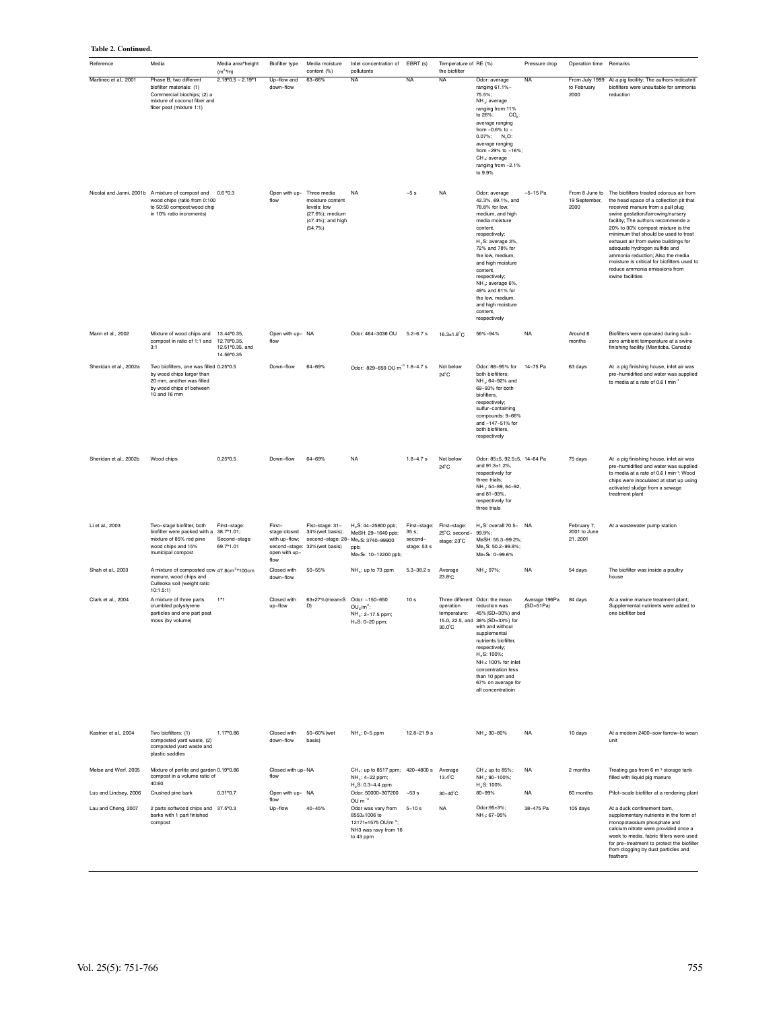#### **Table 2. Continued.**

| Reference              | Media                                                                                                                                         | Media area*height<br>$(m^2 \cdot m)$         | Biofilter type                                                   | Media moisture<br>content (%)                                                      | Inlet concentration of<br>pollutants                                                                                       | EBRT (s)                       | Temperature of RE (%)<br>the biofilter                    |                                                                                                                                                                                                                                                                                                                                                     | Pressure drop                | Operation time                          | Remarks                                                                                                                                                                                                                                                                                                                                                                                                                                                                                                         |
|------------------------|-----------------------------------------------------------------------------------------------------------------------------------------------|----------------------------------------------|------------------------------------------------------------------|------------------------------------------------------------------------------------|----------------------------------------------------------------------------------------------------------------------------|--------------------------------|-----------------------------------------------------------|-----------------------------------------------------------------------------------------------------------------------------------------------------------------------------------------------------------------------------------------------------------------------------------------------------------------------------------------------------|------------------------------|-----------------------------------------|-----------------------------------------------------------------------------------------------------------------------------------------------------------------------------------------------------------------------------------------------------------------------------------------------------------------------------------------------------------------------------------------------------------------------------------------------------------------------------------------------------------------|
| Martinec et al., 2001  | Phase B, two different<br>biofilter materials: (1)<br>Commercial biochips; (2) a<br>mixture of coconut fiber and<br>fiber peat (mixture 1:1)  | $2.19*0.5 - 2.19*1$                          | Up-flow and<br>down-flow                                         | 63-66%                                                                             | <b>NA</b>                                                                                                                  | <b>NA</b>                      | <b>NA</b>                                                 | Odor: average<br>ranging 61.1%-<br>75.5%;<br>NH .: average<br>ranging from 11%<br>to 26%;<br>$CO2$ :<br>average ranging<br>from -0.6% to -<br>$0.07\%$ ; N <sub>2</sub> O:<br>average ranging<br>from -29% to -16%;<br>CH < average<br>ranging from -2.1%<br>to 9.9%                                                                                | <b>NA</b>                    | to February<br>2000                     | From July 1999 At a pig facility; The authors indicated<br>biofilters were unsuitable for ammonia<br>reduction                                                                                                                                                                                                                                                                                                                                                                                                  |
|                        | Nicolai and Janni, 2001b A mixture of compost and<br>wood chips (ratio from 0:100<br>to 50:50 compost:wood chip<br>in 10% ratio increments)   | $0.6*0.3$                                    | Open with up- Three media<br>flow                                | moisture content<br>levels: low<br>(27.6%); medium<br>(47.4%); and high<br>(54.7%) | <b>NA</b>                                                                                                                  | $\sim5$ s                      | <b>NA</b>                                                 | Odor: average<br>42.3%, 69.1%, and<br>78.8% for low,<br>medium, and high<br>media moisture<br>content,<br>respectively;<br>$H2S$ : average 3%,<br>72% and 78% for<br>the low, medium,<br>and high moisture<br>content,<br>respectively;<br>NH ; average 6%,<br>49% and 81% for<br>the low, medium,<br>and high moisture<br>content,<br>respectively | $-5 - 15$ Pa                 | 19 September,<br>2000                   | From 8 June to The biofilters treated odorous air from<br>the head space of a collection pit that<br>received manure from a pull plug<br>swine gestation/farrowing/nursery<br>facility; The authors recommende a<br>20% to 30% compost mixture is the<br>minimum that should be used to treat<br>exhaust air from swine buildings for<br>adequate hydrogen sulfide and<br>ammonia reduction; Also the media<br>moisture is critical for biofilters used to<br>reduce ammonia emissions from<br>swine facilities |
| Mann et al., 2002      | Mixture of wood chips and 13.44*0.35,<br>compost in ratio of 1:1 and<br>3:1                                                                   | 12.78*0.35,<br>12.51*0.35, and<br>14.56*0.35 | Open with up- NA<br>flow                                         |                                                                                    | Odor: 464-3036 OU                                                                                                          | $5.2 - 6.7$ s                  | $16.3 \pm 1.8^{\circ}$ C                                  | 56%-94%                                                                                                                                                                                                                                                                                                                                             | <b>NA</b>                    | Around 6<br>months                      | Biofilters were operated during sub-<br>zero ambient temperature at a swine<br>finishing facility (Manitoba, Canada)                                                                                                                                                                                                                                                                                                                                                                                            |
| Sheridan et al., 2002a | Two biofilters, one was filled 0.25*0.5<br>by wood chips larger than<br>20 mm, another was filled<br>by wood chips of between<br>10 and 16 mm |                                              | Down-flow                                                        | 64-69%                                                                             | Odor: 829-859 OU m <sup>-3</sup> 1.8-4.7 s                                                                                 |                                | Not below<br>$24^{\circ}$ C                               | Odor: 88-95% for 14-75 Pa<br>both biofilters:<br>NH .: 64-92% and<br>69-93% for both<br>biofilters.<br>respectively;<br>sulfur-containing<br>compounds: 9-66%<br>and -147-51% for<br>both biofilters,<br>respectively                                                                                                                               |                              | 63 days                                 | At a pig finishing house, inlet air was<br>pre-humidified and water was supplied<br>to media at a rate of 0.6 I min <sup>-</sup>                                                                                                                                                                                                                                                                                                                                                                                |
| Sheridan et al., 2002b | Wood chips                                                                                                                                    | $0.25*0.5$                                   | Down-flow                                                        | 64-69%                                                                             | <b>NA</b>                                                                                                                  | $1.8 - 4.7 s$                  | Not below<br>$24^{\circ}$ C                               | Odor: 85±5, 92.5±5, 14-64 Pa<br>and 91.3±1.2%.<br>respectively for<br>three trials:<br>NH : 54-89, 64-92,<br>and 81-93%,<br>respectively for<br>three trials                                                                                                                                                                                        |                              | 75 days                                 | At a pig finishing house, inlet air was<br>pre-humidified and water was supplied<br>to media at a rate of 0.6 I min <sup>-1</sup> ; Wood<br>chips were inoculated at start up using<br>activated sludge from a sewage<br>treatment plant                                                                                                                                                                                                                                                                        |
| Li et al., 2003        | Two-stage biofilter, both<br>biofilter were packed with a 38.7*1.01;<br>mixture of 85% red pine<br>wood chips and 15%<br>municipal compost    | First-stage:<br>Second-stage:<br>69.7*1.01   | First-<br>stage:closed<br>with up-flow;<br>open with up-<br>flow | Fist-stage: 31-<br>34%(wet basis);<br>second-stage: 32% (wet basis)                | H <sub>2</sub> S: 44-25800 ppb;<br>MeSH: 29-1640 ppb;<br>second-stage: 28-Me2S: 3740-99900<br>ppb;<br>Me2Se: 10-12200 ppb; | 35 s<br>second-<br>stage: 53 s | First-stage: First-stage:<br>25°C; second-<br>stage: 23°C | H <sub>2</sub> S: overall 70.5- NA<br>99.9%;<br>MeSH: 55.3-99.2%;<br>Me <sub>2</sub> S: 50.2-99.9%;<br>Me2Sc: 0-99.6%                                                                                                                                                                                                                               |                              | February 7,<br>2001 to June<br>21, 2001 | At a wastewater pump station                                                                                                                                                                                                                                                                                                                                                                                                                                                                                    |
| Shah et al., 2003      | A mixture of composted cow 47.8cm <sup>2</sup> *100cm<br>manure, wood chips and<br>Culleoka soil (weight ratio<br>10:1.5:1)                   |                                              | Closed with<br>down-flow                                         | $50 - 55%$                                                                         | NH <sub>3</sub> : up to 73 ppm                                                                                             | $5.3 - 38.2 s$                 | Average<br>23.8°C                                         | NH .: 97%;                                                                                                                                                                                                                                                                                                                                          | <b>NA</b>                    | 54 days                                 | The biofilter was inside a poultry<br>house                                                                                                                                                                                                                                                                                                                                                                                                                                                                     |
| Clark et al., 2004     | A mixture of three parts<br>crumbled polystyrene<br>particles and one part peat<br>moss (by volume)                                           | $1*1$                                        | Closed with<br>up-flow                                           | 63±27%(mean±S Odor: ~150-650<br>D)                                                 | $OUr/m3$ ;<br>NH <sub>3</sub> : 2-17.5 ppm;<br>$H_2S$ : 0-20 ppm;                                                          | 10 <sub>s</sub>                | operation<br>temperature:<br>$30.0^{\circ}$ C             | Three different Odor: the mean<br>reduction was<br>45% (SD=30%) and<br>15.0, 22.5, and 38%(SD=33%) for<br>with and without<br>supplemental<br>nutrients biofilter,<br>respectively;<br>H <sub>2</sub> S: 100%;<br>NH x 100% for inlet<br>concentration less<br>than 10 ppm and<br>67% on average for<br>all concentratioin                          | Average 196Pa<br>$(SD=51Pa)$ | 84 days                                 | At a swine manure treatment plant:<br>Supplemental nutrients were added to<br>one biofilter bed                                                                                                                                                                                                                                                                                                                                                                                                                 |
| Kastner et al., 2004   | Two biofilters: (1)<br>composted yard waste, (2)<br>composted yard waste and<br>plastic saddles                                               | 1.17*0.86                                    | Closed with<br>down-flow                                         | 50-60% (wet<br>basis)                                                              | NH <sub>3</sub> : 0-5 ppm                                                                                                  | $12.8 - 21.9 s$                |                                                           | NH <sub>3</sub> : 30-80%                                                                                                                                                                                                                                                                                                                            | <b>NA</b>                    | 10 days                                 | At a modern 2400-sow farrow-to wean<br>unit                                                                                                                                                                                                                                                                                                                                                                                                                                                                     |
| Melse and Werf, 2005   | Mixture of perlite and garden 0.19*0.86<br>compost in a volume ratio of<br>40:60                                                              |                                              | Closed with up-NA<br>flow                                        |                                                                                    | CH <sub>4</sub> : up to 8517 ppm; 420-4800 s Average<br>NH .: 4-22 ppm;<br>$H_2S: 0.3-4.4$ ppm                             |                                | 13.4°C                                                    | CH < up to 85%;<br>NH .: 90-100%;<br>$H_2S: 100\%$                                                                                                                                                                                                                                                                                                  | <b>NA</b>                    | 2 months                                | Treating gas from 6 m <sup>3</sup> storage tank<br>filled with liquid pig manure                                                                                                                                                                                                                                                                                                                                                                                                                                |
| Luo and Lindsey, 2006  | Crushed pine bark                                                                                                                             | $0.31*0.7$                                   | Open with up- NA<br>flow                                         |                                                                                    | Odor: 50000-307200 ~53 s                                                                                                   |                                | 30-40°C                                                   | 80-99%                                                                                                                                                                                                                                                                                                                                              | <b>NA</b>                    | 60 months                               | Pilot-scale biofilter at a rendering plant                                                                                                                                                                                                                                                                                                                                                                                                                                                                      |
| Lau and Cheng, 2007    | 2 parts softwood chips and 37.5*0.3<br>barks with 1 part finished<br>compost                                                                  |                                              | Up-flow                                                          | 40-45%                                                                             | OU $m^{-3}$<br>Odor was vary from<br>8553±1006 to<br>12171±1575 OU/m <sup>3</sup> ;<br>NH3 was ravy from 16<br>to 43 ppm   | $5 - 10s$                      | <b>NA</b>                                                 | Odor:95±3%;<br>NH x 67-95%                                                                                                                                                                                                                                                                                                                          | 38-475 Pa                    | 105 days                                | At a duck confinement barn,<br>supplementary nutrients in the form of<br>monopotassium phosphate and<br>calcium nitrate were provided once a<br>week to media, fabric filters were used<br>for pre-treatment to protect the biofilter<br>from clogging by dust particles and<br>feathers                                                                                                                                                                                                                        |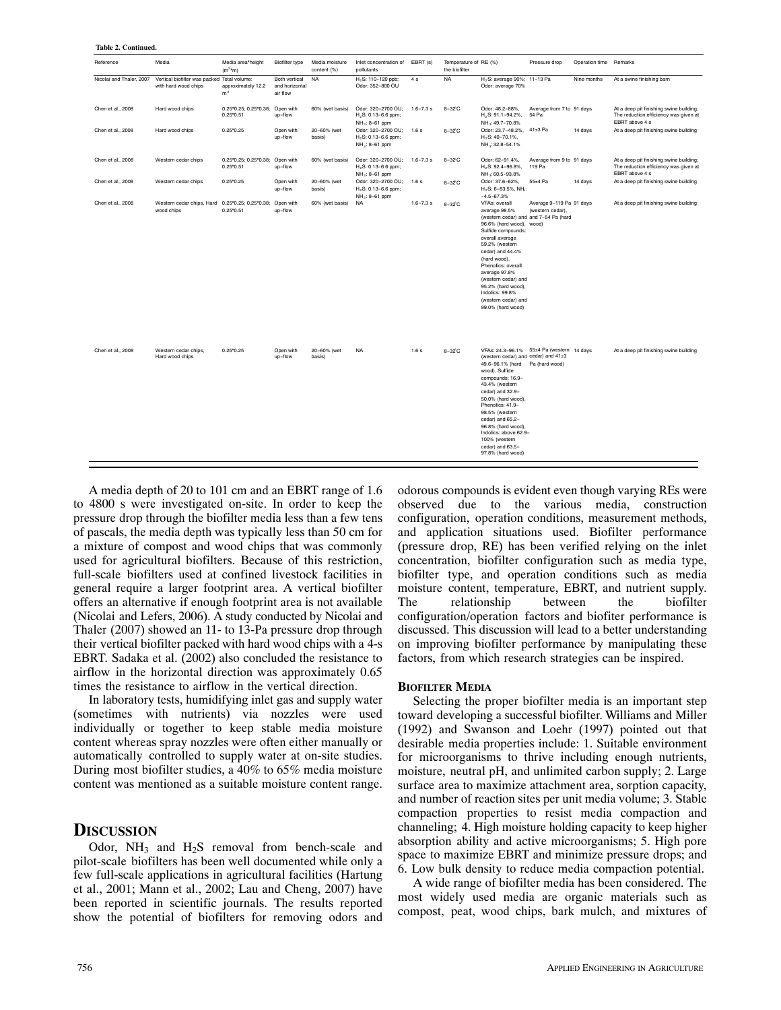| Reference                | Media                                                               | Media area*height<br>$(m^2 \star m)$ | Biofilter type                              | Media moisture<br>content (%) | Inlet concentration of<br>pollutants                                                | EBRT (s)      | Temperature of RE (%)<br>the biofilter |                                                                                                                                                                                                                                                                                                                                                                                          | Pressure drop                                | Operation time | Remarks                                                                                            |
|--------------------------|---------------------------------------------------------------------|--------------------------------------|---------------------------------------------|-------------------------------|-------------------------------------------------------------------------------------|---------------|----------------------------------------|------------------------------------------------------------------------------------------------------------------------------------------------------------------------------------------------------------------------------------------------------------------------------------------------------------------------------------------------------------------------------------------|----------------------------------------------|----------------|----------------------------------------------------------------------------------------------------|
| Nicolai and Thaler, 2007 | Vertical biofilter was packed Total volume:<br>with hard wood chips | approximately 12.2<br>m <sup>3</sup> | Both vertical<br>and horizontal<br>air flow | <b>NA</b>                     | H., S: 110-120 ppb;<br>Odor: 352-800 OU                                             | 4 s           | <b>NA</b>                              | H <sub>2</sub> S: average 90%; 11-13 Pa<br>Odor: average 70%                                                                                                                                                                                                                                                                                                                             |                                              | Nine months    | At a swine finishing barn                                                                          |
| Chen et al., 2008        | Hard wood chips                                                     | 0.25*0.25: 0.25*0.38:<br>$0.25*0.51$ | Open with<br>up-flow                        | 60% (wet basis)               | Odor: 320-2700 OU:<br>H., S: 0.13-6.6 ppm;<br>NH <sub>3</sub> : 8-61 ppm            | $1.6 - 7.3$ s | $8-32C$                                | Odor: 48.2-88%.<br>H <sub>3</sub> S: 91.1-94.2%,<br>NH ≤ 49.7-70.8%                                                                                                                                                                                                                                                                                                                      | Average from 7 to 91 days<br>54 Pa           |                | At a deep pit finishing swine building;<br>The reduction efficiency was given at<br>EBRT above 4 s |
| Chen et al., 2008        | Hard wood chips                                                     | $0.25*0.25$                          | Open with<br>up-flow                        | 20-60% (wet<br>basis)         | Odor: 320-2700 OU;<br>$H_2S: 0.13-6.6$ ppm;<br>NH <sub>3</sub> : 8-61 ppm           | 1.6s          | 8-32°C                                 | Odor: 23.7-48.2%.<br>$H_2S$ : 40-70.1%,<br>NH << 32.8-54.1%                                                                                                                                                                                                                                                                                                                              | $41\pm3$ Pa                                  | 14 days        | At a deep pit finishing swine building                                                             |
| Chen et al., 2008        | Western cedar chips                                                 | 0.25*0.25: 0.25*0.38:<br>$0.25*0.51$ | Open with<br>up-flow                        | 60% (wet basis)               | Odor: 320-2700 OU:<br>H <sub>2</sub> S: 0.13-6.6 ppm;<br>NH <sub>3</sub> : 8-61 ppm | $1.6 - 7.3$ s | $8-32C$                                | Odor: 62-91.4%.<br>H <sub>2</sub> S: 92.4-96.8%,<br>NH ≤ 60.5-93.8%                                                                                                                                                                                                                                                                                                                      | Average from 9 to 91 days<br>119 Pa          |                | At a deep pit finishing swine building;<br>The reduction efficiency was given at<br>EBRT above 4 s |
| Chen et al., 2008        | Western cedar chips                                                 | $0.25*0.25$                          | Open with<br>up-flow                        | 20-60% (wet<br>basis)         | Odor: 320-2700 OU;<br>$H_2S: 0.13-6.6$ ppm;<br>NH <sub>3</sub> : 8-61 ppm           | 1.6 s         | $8-32^{\circ}C$                        | Odor: 37.6-62%,<br>$H_2S: 6-83.5%$ , NH <sub>b</sub> :<br>$-4.5 - 67.3%$                                                                                                                                                                                                                                                                                                                 | 55±4 Pa                                      | 14 days        | At a deep pit finishing swine building                                                             |
| Chen et al., 2008        | Western cedar chips, Hard 0.25*0.25; 0.25*0.38;<br>wood chips       | $0.25*0.51$                          | Open with<br>up-flow                        | 60% (wet basis)               | <b>NA</b>                                                                           | $1.6 - 7.3$ s | $8-32^{\circ}C$                        | VFAs: overall<br>average 98.5%<br>(western cedar) and and 7-54 Pa (hard<br>96.6% (hard wood), wood)<br>Sulfide compounds:<br>overall average<br>59.2% (western<br>cedar) and 44.4%<br>(hard wood),<br>Phenolics: overall<br>average 97.8%<br>(western cedar) and<br>95.2% (hard wood),<br>Indolics: 99.8%<br>(western cedar) and<br>99.0% (hard wood)                                    | Average 9-119 Pa 91 days<br>(western cedar), |                | At a deep pit finishing swine building                                                             |
| Chen et al., 2008        | Western cedar chips.<br>Hard wood chips                             | $0.25*0.25$                          | Open with<br>up-flow                        | 20-60% (wet<br>basis)         | <b>NA</b>                                                                           | 1.6s          | $8-32^{\circ}C$                        | VFAs: 24.3-96.1% 55±4 Pa (western 14 days<br>(western cedar) and cedar) and 41±3<br>49.6-96.1% (hard Pa (hard wood)<br>wood), Sulfide<br>compounds: 16.9-<br>43.4% (western<br>cedar) and 32.9-<br>50.0% (hard wood),<br>Phenolics: 41.9-<br>98.5% (western<br>cedar) and 65.2-<br>96.8% (hard wood),<br>Indolics: above 62.9-<br>100% (western<br>cedar) and 63.5-<br>97.8% (hard wood) |                                              |                | At a deep pit finishing swine building                                                             |

A media depth of 20 to 101 cm and an EBRT range of 1.6 to 4800 s were investigated on‐site. In order to keep the pressure drop through the biofilter media less than a few tens of pascals, the media depth was typically less than 50 cm for a mixture of compost and wood chips that was commonly used for agricultural biofilters. Because of this restriction, full-scale biofilters used at confined livestock facilities in general require a larger footprint area. A vertical biofilter offers an alternative if enough footprint area is not available (Nicolai and Lefers, 2006). A study conducted by Nicolai and Thaler (2007) showed an 11‐ to 13‐Pa pressure drop through their vertical biofilter packed with hard wood chips with a 4‐s EBRT. Sadaka et al. (2002) also concluded the resistance to airflow in the horizontal direction was approximately 0.65 times the resistance to airflow in the vertical direction.

In laboratory tests, humidifying inlet gas and supply water (sometimes with nutrients) via nozzles were used individually or together to keep stable media moisture content whereas spray nozzles were often either manually or automatically controlled to supply water at on‐site studies. During most biofilter studies, a 40% to 65% media moisture content was mentioned as a suitable moisture content range.

#### **DISCUSSION**

Odor,  $NH_3$  and  $H_2S$  removal from bench-scale and pilot‐scale biofilters has been well documented while only a few full‐scale applications in agricultural facilities (Hartung et al., 2001; Mann et al., 2002; Lau and Cheng, 2007) have been reported in scientific journals. The results reported show the potential of biofilters for removing odors and

odorous compounds is evident even though varying REs were observed due to the various media, construction configuration, operation conditions, measurement methods, and application situations used. Biofilter performance (pressure drop, RE) has been verified relying on the inlet concentration, biofilter configuration such as media type, biofilter type, and operation conditions such as media moisture content, temperature, EBRT, and nutrient supply. The relationship between the biofilter configuration/operation factors and biofiter performance is discussed. This discussion will lead to a better understanding on improving biofilter performance by manipulating these factors, from which research strategies can be inspired.

#### **BIOFILTER MEDIA**

Selecting the proper biofilter media is an important step toward developing a successful biofilter. Williams and Miller (1992) and Swanson and Loehr (1997) pointed out that desirable media properties include: 1. Suitable environment for microorganisms to thrive including enough nutrients, moisture, neutral pH, and unlimited carbon supply; 2. Large surface area to maximize attachment area, sorption capacity, and number of reaction sites per unit media volume; 3. Stable compaction properties to resist media compaction and channeling; 4. High moisture holding capacity to keep higher absorption ability and active microorganisms; 5. High pore space to maximize EBRT and minimize pressure drops; and 6. Low bulk density to reduce media compaction potential.

A wide range of biofilter media has been considered. The most widely used media are organic materials such as compost, peat, wood chips, bark mulch, and mixtures of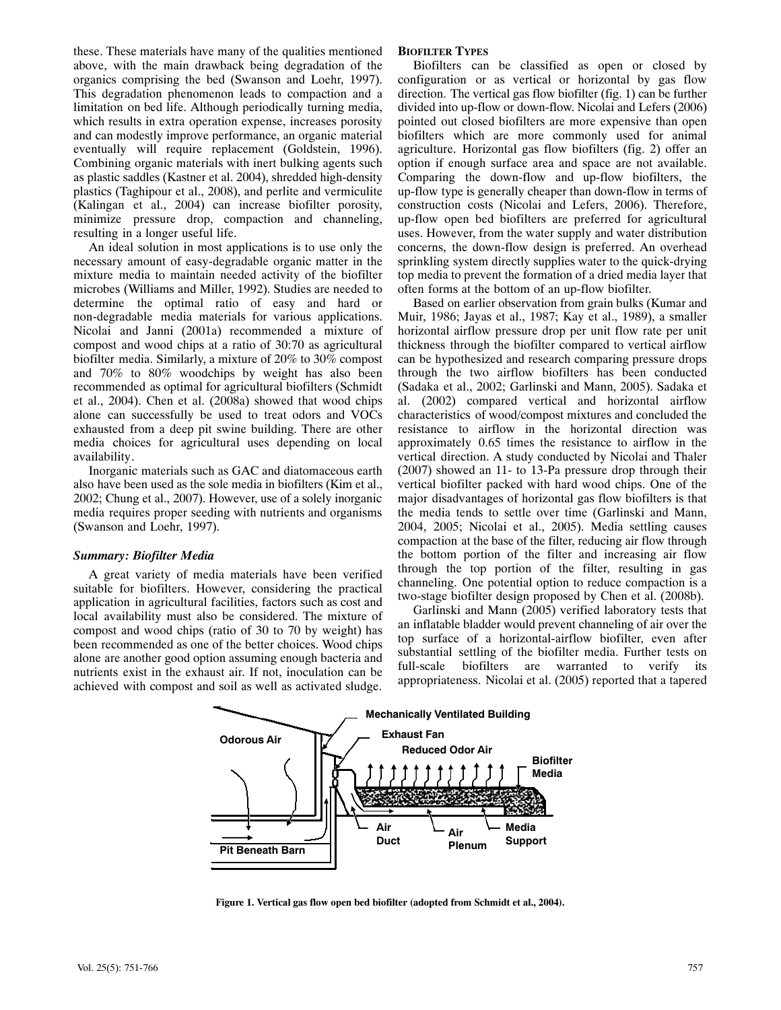these. These materials have many of the qualities mentioned above, with the main drawback being degradation of the organics comprising the bed (Swanson and Loehr, 1997). This degradation phenomenon leads to compaction and a limitation on bed life. Although periodically turning media, which results in extra operation expense, increases porosity and can modestly improve performance, an organic material eventually will require replacement (Goldstein, 1996). Combining organic materials with inert bulking agents such as plastic saddles (Kastner et al. 2004), shredded high‐density plastics (Taghipour et al., 2008), and perlite and vermiculite (Kalingan et al., 2004) can increase biofilter porosity, minimize pressure drop, compaction and channeling, resulting in a longer useful life.

An ideal solution in most applications is to use only the necessary amount of easy‐degradable organic matter in the mixture media to maintain needed activity of the biofilter microbes (Williams and Miller, 1992). Studies are needed to determine the optimal ratio of easy and hard or non‐degradable media materials for various applications. Nicolai and Janni (2001a) recommended a mixture of compost and wood chips at a ratio of 30:70 as agricultural biofilter media. Similarly, a mixture of 20% to 30% compost and 70% to 80% woodchips by weight has also been recommended as optimal for agricultural biofilters (Schmidt et al., 2004). Chen et al. (2008a) showed that wood chips alone can successfully be used to treat odors and VOCs exhausted from a deep pit swine building. There are other media choices for agricultural uses depending on local availability.

Inorganic materials such as GAC and diatomaceous earth also have been used as the sole media in biofilters (Kim et al., 2002; Chung et al., 2007). However, use of a solely inorganic media requires proper seeding with nutrients and organisms (Swanson and Loehr, 1997).

#### *Summary: Biofilter Media*

A great variety of media materials have been verified suitable for biofilters. However, considering the practical application in agricultural facilities, factors such as cost and local availability must also be considered. The mixture of compost and wood chips (ratio of 30 to 70 by weight) has been recommended as one of the better choices. Wood chips alone are another good option assuming enough bacteria and nutrients exist in the exhaust air. If not, inoculation can be achieved with compost and soil as well as activated sludge.

#### **BIOFILTER TYPES**

Biofilters can be classified as open or closed by configuration or as vertical or horizontal by gas flow direction. The vertical gas flow biofilter (fig. 1) can be further divided into up‐flow or down‐flow. Nicolai and Lefers (2006) pointed out closed biofilters are more expensive than open biofilters which are more commonly used for animal agriculture. Horizontal gas flow biofilters (fig. 2) offer an option if enough surface area and space are not available. Comparing the down‐flow and up‐flow biofilters, the up‐flow type is generally cheaper than down‐flow in terms of construction costs (Nicolai and Lefers, 2006). Therefore, up‐flow open bed biofilters are preferred for agricultural uses. However, from the water supply and water distribution concerns, the down‐flow design is preferred. An overhead sprinkling system directly supplies water to the quick‐drying top media to prevent the formation of a dried media layer that often forms at the bottom of an up‐flow biofilter.

Based on earlier observation from grain bulks (Kumar and Muir, 1986; Jayas et al., 1987; Kay et al., 1989), a smaller horizontal airflow pressure drop per unit flow rate per unit thickness through the biofilter compared to vertical airflow can be hypothesized and research comparing pressure drops through the two airflow biofilters has been conducted (Sadaka et al., 2002; Garlinski and Mann, 2005). Sadaka et al. (2002) compared vertical and horizontal airflow characteristics of wood/compost mixtures and concluded the resistance to airflow in the horizontal direction was approximately 0.65 times the resistance to airflow in the vertical direction. A study conducted by Nicolai and Thaler (2007) showed an 11‐ to 13‐Pa pressure drop through their vertical biofilter packed with hard wood chips. One of the major disadvantages of horizontal gas flow biofilters is that the media tends to settle over time (Garlinski and Mann, 2004, 2005; Nicolai et al., 2005). Media settling causes compaction at the base of the filter, reducing air flow through the bottom portion of the filter and increasing air flow through the top portion of the filter, resulting in gas channeling. One potential option to reduce compaction is a two‐stage biofilter design proposed by Chen et al. (2008b).

Garlinski and Mann (2005) verified laboratory tests that an inflatable bladder would prevent channeling of air over the top surface of a horizontal‐airflow biofilter, even after substantial settling of the biofilter media. Further tests on full-scale biofilters are warranted to verify its appropriateness. Nicolai et al. (2005) reported that a tapered



**Figure 1. Vertical gas flow open bed biofilter (adopted from Schmidt et al., 2004).**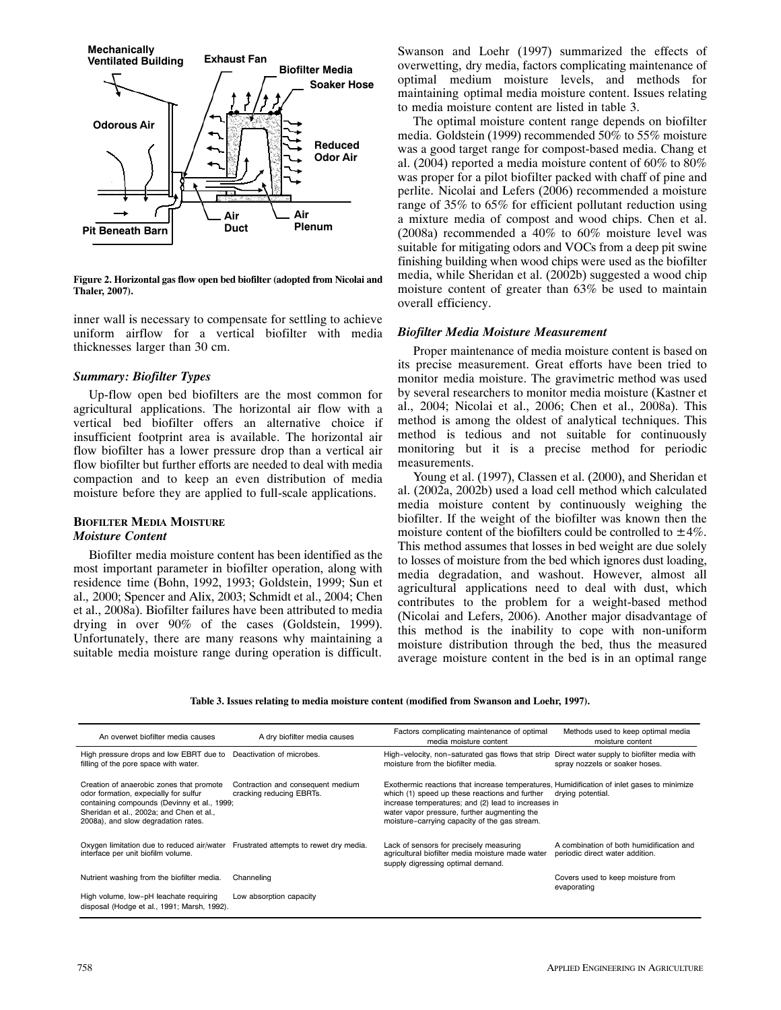

**Figure 2. Horizontal gas flow open bed biofilter (adopted from Nicolai and Thaler, 2007).**

inner wall is necessary to compensate for settling to achieve uniform airflow for a vertical biofilter with media thicknesses larger than 30 cm.

#### *Summary: Biofilter Types*

Up‐flow open bed biofilters are the most common for agricultural applications. The horizontal air flow with a vertical bed biofilter offers an alternative choice if insufficient footprint area is available. The horizontal air flow biofilter has a lower pressure drop than a vertical air flow biofilter but further efforts are needed to deal with media compaction and to keep an even distribution of media moisture before they are applied to full‐scale applications.

#### **BIOFILTER MEDIA MOISTURE** *Moisture Content*

Biofilter media moisture content has been identified as the most important parameter in biofilter operation, along with residence time (Bohn, 1992, 1993; Goldstein, 1999; Sun et al., 2000; Spencer and Alix, 2003; Schmidt et al., 2004; Chen et al., 2008a). Biofilter failures have been attributed to media drying in over 90% of the cases (Goldstein, 1999). Unfortunately, there are many reasons why maintaining a suitable media moisture range during operation is difficult.

Swanson and Loehr (1997) summarized the effects of overwetting, dry media, factors complicating maintenance of optimal medium moisture levels, and methods for maintaining optimal media moisture content. Issues relating to media moisture content are listed in table 3.

The optimal moisture content range depends on biofilter media. Goldstein (1999) recommended 50% to 55% moisture was a good target range for compost‐based media. Chang et al. (2004) reported a media moisture content of 60% to 80% was proper for a pilot biofilter packed with chaff of pine and perlite. Nicolai and Lefers (2006) recommended a moisture range of 35% to 65% for efficient pollutant reduction using a mixture media of compost and wood chips. Chen et al. (2008a) recommended a 40% to 60% moisture level was suitable for mitigating odors and VOCs from a deep pit swine finishing building when wood chips were used as the biofilter media, while Sheridan et al. (2002b) suggested a wood chip moisture content of greater than 63% be used to maintain overall efficiency.

#### *Biofilter Media Moisture Measurement*

Proper maintenance of media moisture content is based on its precise measurement. Great efforts have been tried to monitor media moisture. The gravimetric method was used by several researchers to monitor media moisture (Kastner et al., 2004; Nicolai et al., 2006; Chen et al., 2008a). This method is among the oldest of analytical techniques. This method is tedious and not suitable for continuously monitoring but it is a precise method for periodic measurements.

Young et al. (1997), Classen et al. (2000), and Sheridan et al. (2002a, 2002b) used a load cell method which calculated media moisture content by continuously weighing the biofilter. If the weight of the biofilter was known then the moisture content of the biofilters could be controlled to  $\pm 4\%$ . This method assumes that losses in bed weight are due solely to losses of moisture from the bed which ignores dust loading, media degradation, and washout. However, almost all agricultural applications need to deal with dust, which contributes to the problem for a weight‐based method (Nicolai and Lefers, 2006). Another major disadvantage of this method is the inability to cope with non‐uniform moisture distribution through the bed, thus the measured average moisture content in the bed is in an optimal range

**Table 3. Issues relating to media moisture content (modified from Swanson and Loehr, 1997).**

| An overwet biofilter media causes                                                                                                                                                                                   | A dry biofilter media causes                                  | Factors complicating maintenance of optimal<br>media moisture content                                                                                                                                                                                                                                | Methods used to keep optimal media<br>moisture content                      |
|---------------------------------------------------------------------------------------------------------------------------------------------------------------------------------------------------------------------|---------------------------------------------------------------|------------------------------------------------------------------------------------------------------------------------------------------------------------------------------------------------------------------------------------------------------------------------------------------------------|-----------------------------------------------------------------------------|
| High pressure drops and low EBRT due to<br>filling of the pore space with water.                                                                                                                                    | Deactivation of microbes.                                     | High-velocity, non-saturated gas flows that strip Direct water supply to biofilter media with<br>moisture from the biofilter media.                                                                                                                                                                  | spray nozzels or soaker hoses.                                              |
| Creation of anaerobic zones that promote<br>odor formation, expecially for sulfur<br>containing compounds (Devinny et al., 1999;<br>Sheridan et al., 2002a; and Chen et al.,<br>2008a), and slow degradation rates. | Contraction and consequent medium<br>cracking reducing EBRTs. | Exothermic reactions that increase temperatures, Humidification of inlet gases to minimize<br>which (1) speed up these reactions and further<br>increase temperatures; and (2) lead to increases in<br>water vapor pressure, further augmenting the<br>moisture-carrying capacity of the gas stream. | drying potential.                                                           |
| Oxygen limitation due to reduced air/water<br>interface per unit biofilm volume.                                                                                                                                    | Frustrated attempts to rewet dry media.                       | Lack of sensors for precisely measuring<br>agricultural biofilter media moisture made water<br>supply digressing optimal demand.                                                                                                                                                                     | A combination of both humidification and<br>periodic direct water addition. |
| Nutrient washing from the biofilter media.                                                                                                                                                                          | Channeling                                                    |                                                                                                                                                                                                                                                                                                      | Covers used to keep moisture from<br>evaporating                            |
| High volume, low-pH leachate requiring<br>disposal (Hodge et al., 1991; Marsh, 1992).                                                                                                                               | Low absorption capacity                                       |                                                                                                                                                                                                                                                                                                      |                                                                             |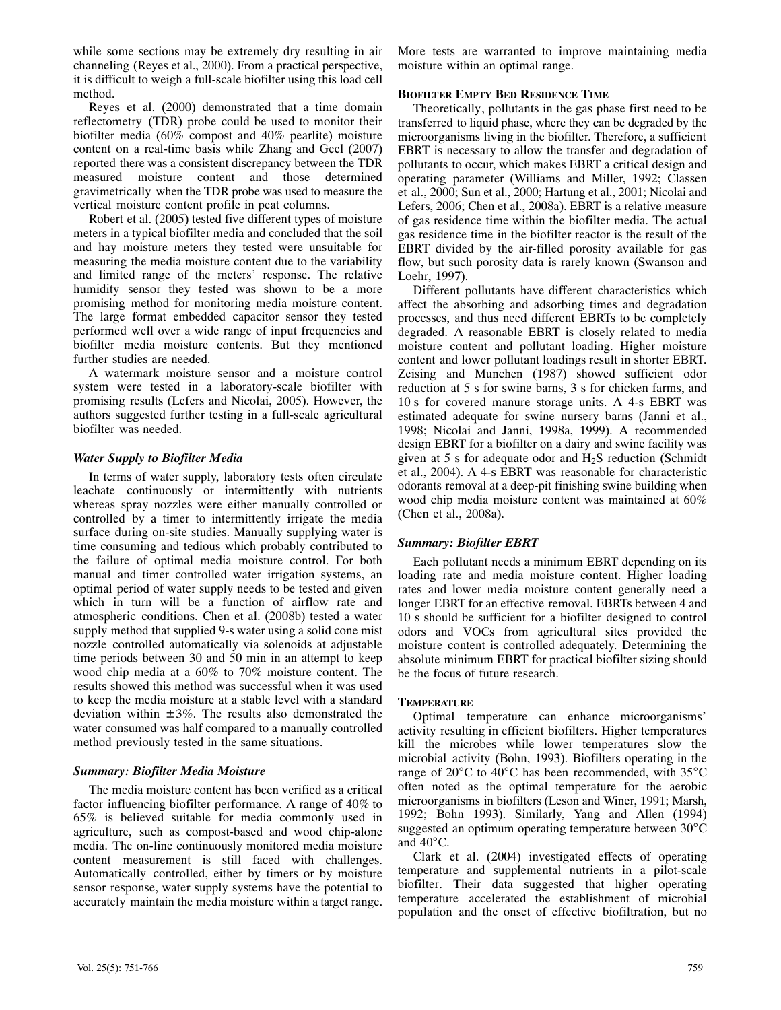while some sections may be extremely dry resulting in air channeling (Reyes et al., 2000). From a practical perspective, it is difficult to weigh a full‐scale biofilter using this load cell method.

Reyes et al. (2000) demonstrated that a time domain reflectometry (TDR) probe could be used to monitor their biofilter media (60% compost and 40% pearlite) moisture content on a real-time basis while Zhang and Geel (2007) reported there was a consistent discrepancy between the TDR measured moisture content and those determined gravimetrically when the TDR probe was used to measure the vertical moisture content profile in peat columns.

Robert et al. (2005) tested five different types of moisture meters in a typical biofilter media and concluded that the soil and hay moisture meters they tested were unsuitable for measuring the media moisture content due to the variability and limited range of the meters' response. The relative humidity sensor they tested was shown to be a more promising method for monitoring media moisture content. The large format embedded capacitor sensor they tested performed well over a wide range of input frequencies and biofilter media moisture contents. But they mentioned further studies are needed.

A watermark moisture sensor and a moisture control system were tested in a laboratory‐scale biofilter with promising results (Lefers and Nicolai, 2005). However, the authors suggested further testing in a full‐scale agricultural biofilter was needed.

#### *Water Supply to Biofilter Media*

In terms of water supply, laboratory tests often circulate leachate continuously or intermittently with nutrients whereas spray nozzles were either manually controlled or controlled by a timer to intermittently irrigate the media surface during on-site studies. Manually supplying water is time consuming and tedious which probably contributed to the failure of optimal media moisture control. For both manual and timer controlled water irrigation systems, an optimal period of water supply needs to be tested and given which in turn will be a function of airflow rate and atmospheric conditions. Chen et al. (2008b) tested a water supply method that supplied 9-s water using a solid cone mist nozzle controlled automatically via solenoids at adjustable time periods between 30 and 50 min in an attempt to keep wood chip media at a 60% to 70% moisture content. The results showed this method was successful when it was used to keep the media moisture at a stable level with a standard deviation within  $\pm 3\%$ . The results also demonstrated the water consumed was half compared to a manually controlled method previously tested in the same situations.

# *Summary: Biofilter Media Moisture*

The media moisture content has been verified as a critical factor influencing biofilter performance. A range of 40% to 65% is believed suitable for media commonly used in agriculture, such as compost‐based and wood chip‐alone media. The on-line continuously monitored media moisture content measurement is still faced with challenges. Automatically controlled, either by timers or by moisture sensor response, water supply systems have the potential to accurately maintain the media moisture within a target range.

More tests are warranted to improve maintaining media moisture within an optimal range.

#### **BIOFILTER EMPTY BED RESIDENCE TIME**

Theoretically, pollutants in the gas phase first need to be transferred to liquid phase, where they can be degraded by the microorganisms living in the biofilter. Therefore, a sufficient EBRT is necessary to allow the transfer and degradation of pollutants to occur, which makes EBRT a critical design and operating parameter (Williams and Miller, 1992; Classen et al., 2000; Sun et al., 2000; Hartung et al., 2001; Nicolai and Lefers, 2006; Chen et al., 2008a). EBRT is a relative measure of gas residence time within the biofilter media. The actual gas residence time in the biofilter reactor is the result of the EBRT divided by the air‐filled porosity available for gas flow, but such porosity data is rarely known (Swanson and Loehr, 1997).

Different pollutants have different characteristics which affect the absorbing and adsorbing times and degradation processes, and thus need different EBRTs to be completely degraded. A reasonable EBRT is closely related to media moisture content and pollutant loading. Higher moisture content and lower pollutant loadings result in shorter EBRT. Zeising and Munchen (1987) showed sufficient odor reduction at 5 s for swine barns, 3 s for chicken farms, and 10 s for covered manure storage units. A 4‐s EBRT was estimated adequate for swine nursery barns (Janni et al., 1998; Nicolai and Janni, 1998a, 1999). A recommended design EBRT for a biofilter on a dairy and swine facility was given at 5 s for adequate odor and  $H_2S$  reduction (Schmidt) et al., 2004). A 4‐s EBRT was reasonable for characteristic odorants removal at a deep‐pit finishing swine building when wood chip media moisture content was maintained at 60% (Chen et al., 2008a).

# *Summary: Biofilter EBRT*

Each pollutant needs a minimum EBRT depending on its loading rate and media moisture content. Higher loading rates and lower media moisture content generally need a longer EBRT for an effective removal. EBRTs between 4 and 10 s should be sufficient for a biofilter designed to control odors and VOCs from agricultural sites provided the moisture content is controlled adequately. Determining the absolute minimum EBRT for practical biofilter sizing should be the focus of future research.

# **TEMPERATURE**

Optimal temperature can enhance microorganisms' activity resulting in efficient biofilters. Higher temperatures kill the microbes while lower temperatures slow the microbial activity (Bohn, 1993). Biofilters operating in the range of 20°C to 40°C has been recommended, with 35°C often noted as the optimal temperature for the aerobic microorganisms in biofilters (Leson and Winer, 1991; Marsh, 1992; Bohn 1993). Similarly, Yang and Allen (1994) suggested an optimum operating temperature between 30°C and 40°C.

Clark et al. (2004) investigated effects of operating temperature and supplemental nutrients in a pilot‐scale biofilter. Their data suggested that higher operating temperature accelerated the establishment of microbial population and the onset of effective biofiltration, but no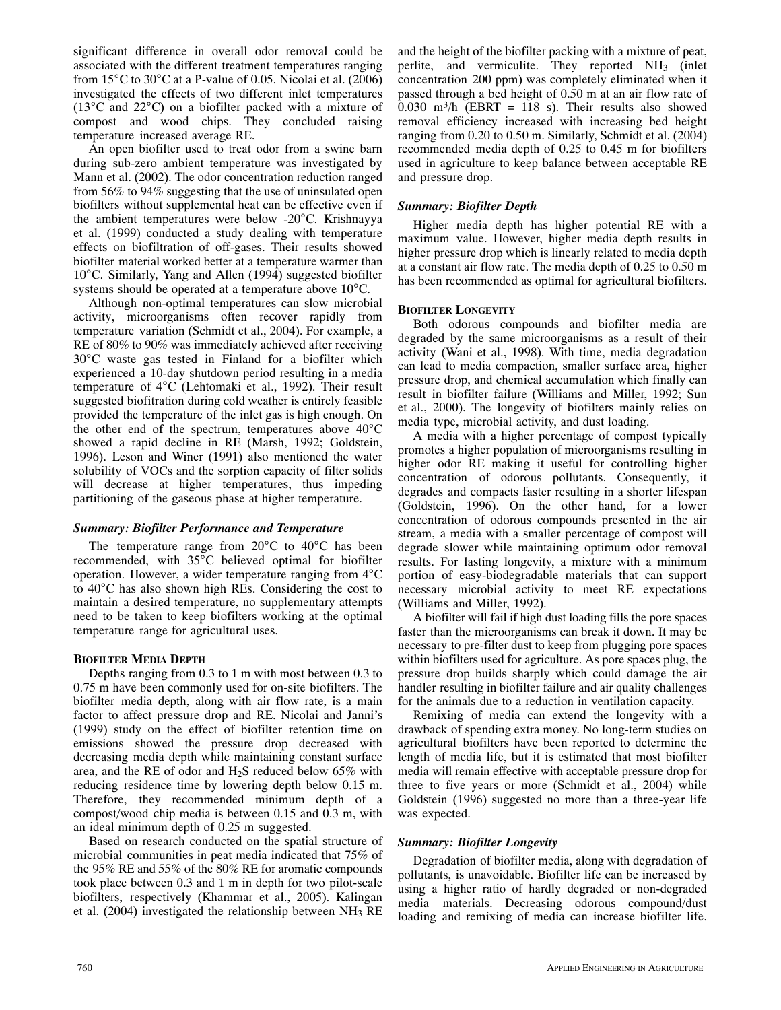significant difference in overall odor removal could be associated with the different treatment temperatures ranging from  $15^{\circ}$ C to  $30^{\circ}$ C at a P-value of 0.05. Nicolai et al. (2006) investigated the effects of two different inlet temperatures (13°C and 22°C) on a biofilter packed with a mixture of compost and wood chips. They concluded raising temperature increased average RE.

An open biofilter used to treat odor from a swine barn during sub‐zero ambient temperature was investigated by Mann et al. (2002). The odor concentration reduction ranged from 56% to 94% suggesting that the use of uninsulated open biofilters without supplemental heat can be effective even if the ambient temperatures were below ‐20°C. Krishnayya et al. (1999) conducted a study dealing with temperature effects on biofiltration of off‐gases. Their results showed biofilter material worked better at a temperature warmer than 10°C. Similarly, Yang and Allen (1994) suggested biofilter systems should be operated at a temperature above 10°C.

Although non‐optimal temperatures can slow microbial activity, microorganisms often recover rapidly from temperature variation (Schmidt et al., 2004). For example, a RE of 80% to 90% was immediately achieved after receiving 30°C waste gas tested in Finland for a biofilter which experienced a 10‐day shutdown period resulting in a media temperature of 4°C (Lehtomaki et al., 1992). Their result suggested biofitration during cold weather is entirely feasible provided the temperature of the inlet gas is high enough. On the other end of the spectrum, temperatures above 40°C showed a rapid decline in RE (Marsh, 1992; Goldstein, 1996). Leson and Winer (1991) also mentioned the water solubility of VOCs and the sorption capacity of filter solids will decrease at higher temperatures, thus impeding partitioning of the gaseous phase at higher temperature.

#### *Summary: Biofilter Performance and Temperature*

The temperature range from 20°C to 40°C has been recommended, with 35°C believed optimal for biofilter operation. However, a wider temperature ranging from 4°C to 40°C has also shown high REs. Considering the cost to maintain a desired temperature, no supplementary attempts need to be taken to keep biofilters working at the optimal temperature range for agricultural uses.

#### **BIOFILTER MEDIA DEPTH**

Depths ranging from 0.3 to 1 m with most between 0.3 to 0.75 m have been commonly used for on‐site biofilters. The biofilter media depth, along with air flow rate, is a main factor to affect pressure drop and RE. Nicolai and Janni's (1999) study on the effect of biofilter retention time on emissions showed the pressure drop decreased with decreasing media depth while maintaining constant surface area, and the RE of odor and H2S reduced below 65% with reducing residence time by lowering depth below 0.15 m. Therefore, they recommended minimum depth of a compost/wood chip media is between 0.15 and 0.3 m, with an ideal minimum depth of 0.25 m suggested.

Based on research conducted on the spatial structure of microbial communities in peat media indicated that 75% of the 95% RE and 55% of the 80% RE for aromatic compounds took place between 0.3 and 1 m in depth for two pilot‐scale biofilters, respectively (Khammar et al., 2005). Kalingan et al. (2004) investigated the relationship between NH3 RE

and the height of the biofilter packing with a mixture of peat, perlite, and vermiculite. They reported NH<sub>3</sub> (inlet concentration 200 ppm) was completely eliminated when it passed through a bed height of 0.50 m at an air flow rate of 0.030 m<sup>3</sup>/h (EBRT = 118 s). Their results also showed removal efficiency increased with increasing bed height ranging from 0.20 to 0.50 m. Similarly, Schmidt et al. (2004) recommended media depth of 0.25 to 0.45 m for biofilters used in agriculture to keep balance between acceptable RE and pressure drop.

#### *Summary: Biofilter Depth*

Higher media depth has higher potential RE with a maximum value. However, higher media depth results in higher pressure drop which is linearly related to media depth at a constant air flow rate. The media depth of 0.25 to 0.50 m has been recommended as optimal for agricultural biofilters.

#### **BIOFILTER LONGEVITY**

Both odorous compounds and biofilter media are degraded by the same microorganisms as a result of their activity (Wani et al., 1998). With time, media degradation can lead to media compaction, smaller surface area, higher pressure drop, and chemical accumulation which finally can result in biofilter failure (Williams and Miller, 1992; Sun et al., 2000). The longevity of biofilters mainly relies on media type, microbial activity, and dust loading.

A media with a higher percentage of compost typically promotes a higher population of microorganisms resulting in higher odor RE making it useful for controlling higher concentration of odorous pollutants. Consequently, it degrades and compacts faster resulting in a shorter lifespan (Goldstein, 1996). On the other hand, for a lower concentration of odorous compounds presented in the air stream, a media with a smaller percentage of compost will degrade slower while maintaining optimum odor removal results. For lasting longevity, a mixture with a minimum portion of easy‐biodegradable materials that can support necessary microbial activity to meet RE expectations (Williams and Miller, 1992).

A biofilter will fail if high dust loading fills the pore spaces faster than the microorganisms can break it down. It may be necessary to pre‐filter dust to keep from plugging pore spaces within biofilters used for agriculture. As pore spaces plug, the pressure drop builds sharply which could damage the air handler resulting in biofilter failure and air quality challenges for the animals due to a reduction in ventilation capacity.

Remixing of media can extend the longevity with a drawback of spending extra money. No long‐term studies on agricultural biofilters have been reported to determine the length of media life, but it is estimated that most biofilter media will remain effective with acceptable pressure drop for three to five years or more (Schmidt et al., 2004) while Goldstein (1996) suggested no more than a three‐year life was expected.

#### *Summary: Biofilter Longevity*

Degradation of biofilter media, along with degradation of pollutants, is unavoidable. Biofilter life can be increased by using a higher ratio of hardly degraded or non‐degraded media materials. Decreasing odorous compound/dust loading and remixing of media can increase biofilter life.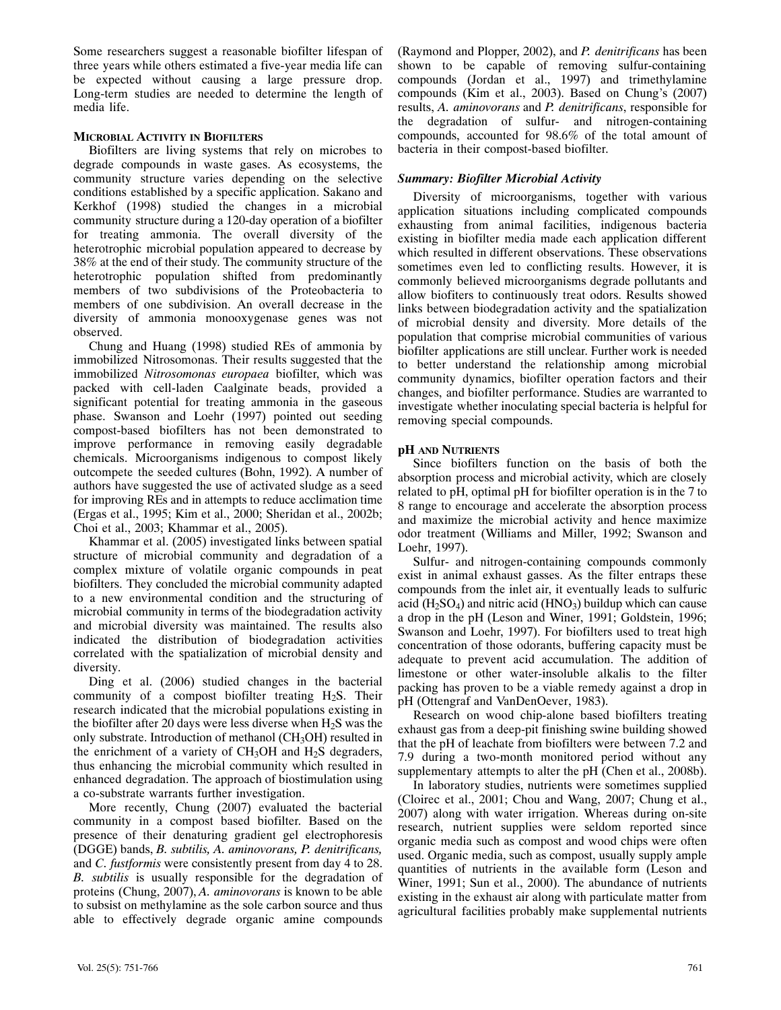Some researchers suggest a reasonable biofilter lifespan of three years while others estimated a five‐year media life can be expected without causing a large pressure drop. Long-term studies are needed to determine the length of media life.

#### **MICROBIAL ACTIVITY IN BIOFILTERS**

Biofilters are living systems that rely on microbes to degrade compounds in waste gases. As ecosystems, the community structure varies depending on the selective conditions established by a specific application. Sakano and Kerkhof (1998) studied the changes in a microbial community structure during a 120‐day operation of a biofilter for treating ammonia. The overall diversity of the heterotrophic microbial population appeared to decrease by 38% at the end of their study. The community structure of the heterotrophic population shifted from predominantly members of two subdivisions of the Proteobacteria to members of one subdivision. An overall decrease in the diversity of ammonia monooxygenase genes was not observed.

Chung and Huang (1998) studied REs of ammonia by immobilized Nitrosomonas. Their results suggested that the immobilized *Nitrosomonas europaea* biofilter, which was packed with cell‐laden Caalginate beads, provided a significant potential for treating ammonia in the gaseous phase. Swanson and Loehr (1997) pointed out seeding compost‐based biofilters has not been demonstrated to improve performance in removing easily degradable chemicals. Microorganisms indigenous to compost likely outcompete the seeded cultures (Bohn, 1992). A number of authors have suggested the use of activated sludge as a seed for improving REs and in attempts to reduce acclimation time (Ergas et al., 1995; Kim et al., 2000; Sheridan et al., 2002b; Choi et al., 2003; Khammar et al., 2005).

Khammar et al. (2005) investigated links between spatial structure of microbial community and degradation of a complex mixture of volatile organic compounds in peat biofilters. They concluded the microbial community adapted to a new environmental condition and the structuring of microbial community in terms of the biodegradation activity and microbial diversity was maintained. The results also indicated the distribution of biodegradation activities correlated with the spatialization of microbial density and diversity.

Ding et al. (2006) studied changes in the bacterial community of a compost biofilter treating  $H_2S$ . Their research indicated that the microbial populations existing in the biofilter after 20 days were less diverse when  $H_2S$  was the only substrate. Introduction of methanol (CH<sub>3</sub>OH) resulted in the enrichment of a variety of  $CH<sub>3</sub>OH$  and  $H<sub>2</sub>S$  degraders, thus enhancing the microbial community which resulted in enhanced degradation. The approach of biostimulation using a co‐substrate warrants further investigation.

More recently, Chung (2007) evaluated the bacterial community in a compost based biofilter. Based on the presence of their denaturing gradient gel electrophoresis (DGGE) bands, *B. subtilis, A. aminovorans, P. denitrificans,* and *C. fustformis* were consistently present from day 4 to 28. *B. subtilis* is usually responsible for the degradation of proteins (Chung, 2007), *A. aminovorans* is known to be able to subsist on methylamine as the sole carbon source and thus able to effectively degrade organic amine compounds

(Raymond and Plopper, 2002), and *P. denitrificans* has been shown to be capable of removing sulfur-containing compounds (Jordan et al., 1997) and trimethylamine compounds (Kim et al., 2003). Based on Chung's (2007) results, *A. aminovorans* and *P. denitrificans*, responsible for the degradation of sulfur‐ and nitrogen‐containing compounds, accounted for 98.6% of the total amount of bacteria in their compost‐based biofilter.

# *Summary: Biofilter Microbial Activity*

Diversity of microorganisms, together with various application situations including complicated compounds exhausting from animal facilities, indigenous bacteria existing in biofilter media made each application different which resulted in different observations. These observations sometimes even led to conflicting results. However, it is commonly believed microorganisms degrade pollutants and allow biofiters to continuously treat odors. Results showed links between biodegradation activity and the spatialization of microbial density and diversity. More details of the population that comprise microbial communities of various biofilter applications are still unclear. Further work is needed to better understand the relationship among microbial community dynamics, biofilter operation factors and their changes, and biofilter performance. Studies are warranted to investigate whether inoculating special bacteria is helpful for removing special compounds.

#### **pH AND NUTRIENTS**

Since biofilters function on the basis of both the absorption process and microbial activity, which are closely related to pH, optimal pH for biofilter operation is in the 7 to 8 range to encourage and accelerate the absorption process and maximize the microbial activity and hence maximize odor treatment (Williams and Miller, 1992; Swanson and Loehr, 1997).

Sulfur‐ and nitrogen‐containing compounds commonly exist in animal exhaust gasses. As the filter entraps these compounds from the inlet air, it eventually leads to sulfuric acid  $(H<sub>2</sub>SO<sub>4</sub>)$  and nitric acid  $(HNO<sub>3</sub>)$  buildup which can cause a drop in the pH (Leson and Winer, 1991; Goldstein, 1996; Swanson and Loehr, 1997). For biofilters used to treat high concentration of those odorants, buffering capacity must be adequate to prevent acid accumulation. The addition of limestone or other water‐insoluble alkalis to the filter packing has proven to be a viable remedy against a drop in pH (Ottengraf and VanDenOever, 1983).

Research on wood chip‐alone based biofilters treating exhaust gas from a deep‐pit finishing swine building showed that the pH of leachate from biofilters were between 7.2 and 7.9 during a two‐month monitored period without any supplementary attempts to alter the pH (Chen et al., 2008b).

In laboratory studies, nutrients were sometimes supplied (Cloirec et al., 2001; Chou and Wang, 2007; Chung et al., 2007) along with water irrigation. Whereas during on‐site research, nutrient supplies were seldom reported since organic media such as compost and wood chips were often used. Organic media, such as compost, usually supply ample quantities of nutrients in the available form (Leson and Winer, 1991; Sun et al., 2000). The abundance of nutrients existing in the exhaust air along with particulate matter from agricultural facilities probably make supplemental nutrients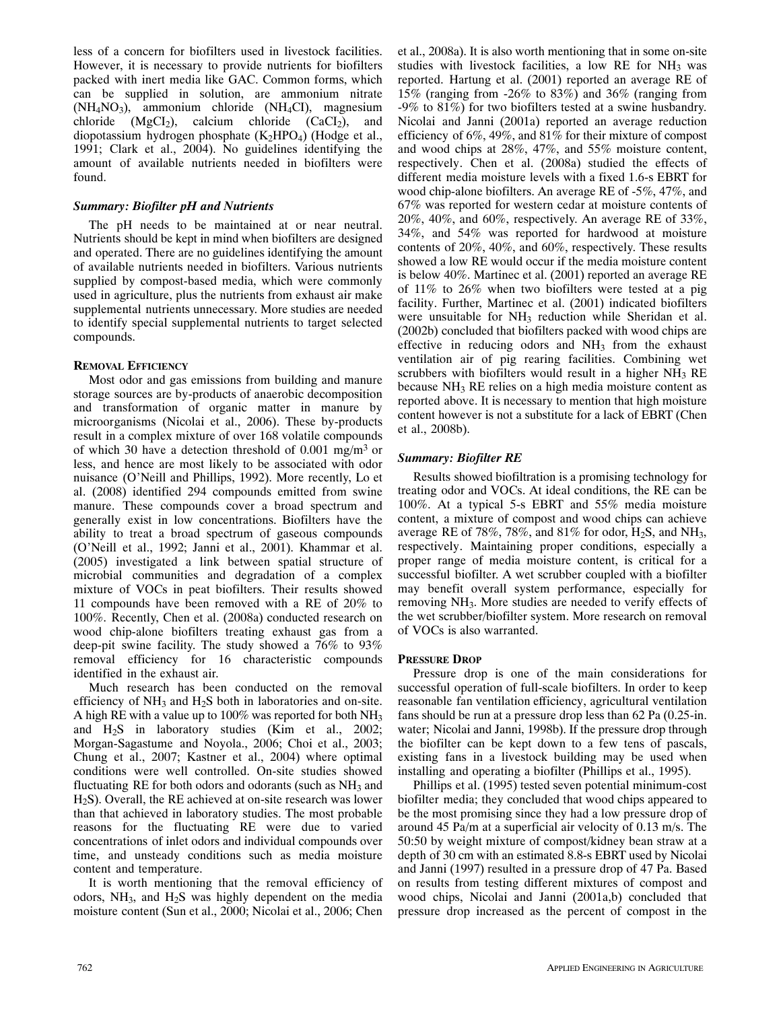less of a concern for biofilters used in livestock facilities. However, it is necessary to provide nutrients for biofilters packed with inert media like GAC. Common forms, which can be supplied in solution, are ammonium nitrate  $(NH<sub>4</sub>NO<sub>3</sub>)$ , ammonium chloride  $(NH<sub>4</sub>Cl)$ , magnesium chloride  $(MgCl<sub>2</sub>)$ , calcium chloride  $(CaCl<sub>2</sub>)$ , and diopotassium hydrogen phosphate  $(K_2HPO_4)$  (Hodge et al., 1991; Clark et al., 2004). No guidelines identifying the amount of available nutrients needed in biofilters were found.

#### *Summary: Biofilter pH and Nutrients*

The pH needs to be maintained at or near neutral. Nutrients should be kept in mind when biofilters are designed and operated. There are no guidelines identifying the amount of available nutrients needed in biofilters. Various nutrients supplied by compost-based media, which were commonly used in agriculture, plus the nutrients from exhaust air make supplemental nutrients unnecessary. More studies are needed to identify special supplemental nutrients to target selected compounds.

#### **REMOVAL EFFICIENCY**

Most odor and gas emissions from building and manure storage sources are by‐products of anaerobic decomposition and transformation of organic matter in manure by microorganisms (Nicolai et al., 2006). These by‐products result in a complex mixture of over 168 volatile compounds of which 30 have a detection threshold of 0.001 mg/m<sup>3</sup> or less, and hence are most likely to be associated with odor nuisance (O'Neill and Phillips, 1992). More recently, Lo et al. (2008) identified 294 compounds emitted from swine manure. These compounds cover a broad spectrum and generally exist in low concentrations. Biofilters have the ability to treat a broad spectrum of gaseous compounds (O'Neill et al., 1992; Janni et al., 2001). Khammar et al. (2005) investigated a link between spatial structure of microbial communities and degradation of a complex mixture of VOCs in peat biofilters. Their results showed 11 compounds have been removed with a RE of 20% to 100%. Recently, Chen et al. (2008a) conducted research on wood chip‐alone biofilters treating exhaust gas from a deep-pit swine facility. The study showed a 76% to 93% removal efficiency for 16 characteristic compounds identified in the exhaust air.

Much research has been conducted on the removal efficiency of  $NH_3$  and  $H_2S$  both in laboratories and on-site. A high RE with a value up to 100% was reported for both NH3 and H2S in laboratory studies (Kim et al., 2002; Morgan‐Sagastume and Noyola., 2006; Choi et al., 2003; Chung et al., 2007; Kastner et al., 2004) where optimal conditions were well controlled. On‐site studies showed fluctuating RE for both odors and odorants (such as NH<sub>3</sub> and H<sub>2</sub>S). Overall, the RE achieved at on-site research was lower than that achieved in laboratory studies. The most probable reasons for the fluctuating RE were due to varied concentrations of inlet odors and individual compounds over time, and unsteady conditions such as media moisture content and temperature.

It is worth mentioning that the removal efficiency of odors,  $NH<sub>3</sub>$ , and  $H<sub>2</sub>S$  was highly dependent on the media moisture content (Sun et al., 2000; Nicolai et al., 2006; Chen

et al., 2008a). It is also worth mentioning that in some on‐site studies with livestock facilities, a low RE for  $NH<sub>3</sub>$  was reported. Hartung et al. (2001) reported an average RE of 15% (ranging from ‐26% to 83%) and 36% (ranging from ‐9% to 81%) for two biofilters tested at a swine husbandry. Nicolai and Janni (2001a) reported an average reduction efficiency of 6%, 49%, and 81% for their mixture of compost and wood chips at 28%, 47%, and 55% moisture content, respectively. Chen et al. (2008a) studied the effects of different media moisture levels with a fixed 1.6‐s EBRT for wood chip-alone biofilters. An average RE of -5%, 47%, and 67% was reported for western cedar at moisture contents of 20%, 40%, and 60%, respectively. An average RE of 33%, 34%, and 54% was reported for hardwood at moisture contents of 20%, 40%, and 60%, respectively. These results showed a low RE would occur if the media moisture content is below 40%. Martinec et al. (2001) reported an average RE of 11% to 26% when two biofilters were tested at a pig facility. Further, Martinec et al. (2001) indicated biofilters were unsuitable for NH<sub>3</sub> reduction while Sheridan et al. (2002b) concluded that biofilters packed with wood chips are effective in reducing odors and  $NH<sub>3</sub>$  from the exhaust ventilation air of pig rearing facilities. Combining wet scrubbers with biofilters would result in a higher  $NH<sub>3</sub>$  RE because NH3 RE relies on a high media moisture content as reported above. It is necessary to mention that high moisture content however is not a substitute for a lack of EBRT (Chen et al., 2008b).

#### *Summary: Biofilter RE*

Results showed biofiltration is a promising technology for treating odor and VOCs. At ideal conditions, the RE can be 100%. At a typical 5‐s EBRT and 55% media moisture content, a mixture of compost and wood chips can achieve average RE of 78%, 78%, and 81% for odor,  $H_2S$ , and  $NH_3$ , respectively. Maintaining proper conditions, especially a proper range of media moisture content, is critical for a successful biofilter. A wet scrubber coupled with a biofilter may benefit overall system performance, especially for removing NH3. More studies are needed to verify effects of the wet scrubber/biofilter system. More research on removal of VOCs is also warranted.

#### **PRESSURE DROP**

Pressure drop is one of the main considerations for successful operation of full-scale biofilters. In order to keep reasonable fan ventilation efficiency, agricultural ventilation fans should be run at a pressure drop less than 62 Pa (0.25‐in. water; Nicolai and Janni, 1998b). If the pressure drop through the biofilter can be kept down to a few tens of pascals, existing fans in a livestock building may be used when installing and operating a biofilter (Phillips et al., 1995).

Phillips et al. (1995) tested seven potential minimum‐cost biofilter media; they concluded that wood chips appeared to be the most promising since they had a low pressure drop of around 45 Pa/m at a superficial air velocity of 0.13 m/s. The 50:50 by weight mixture of compost/kidney bean straw at a depth of 30 cm with an estimated 8.8‐s EBRT used by Nicolai and Janni (1997) resulted in a pressure drop of 47 Pa. Based on results from testing different mixtures of compost and wood chips, Nicolai and Janni (2001a,b) concluded that pressure drop increased as the percent of compost in the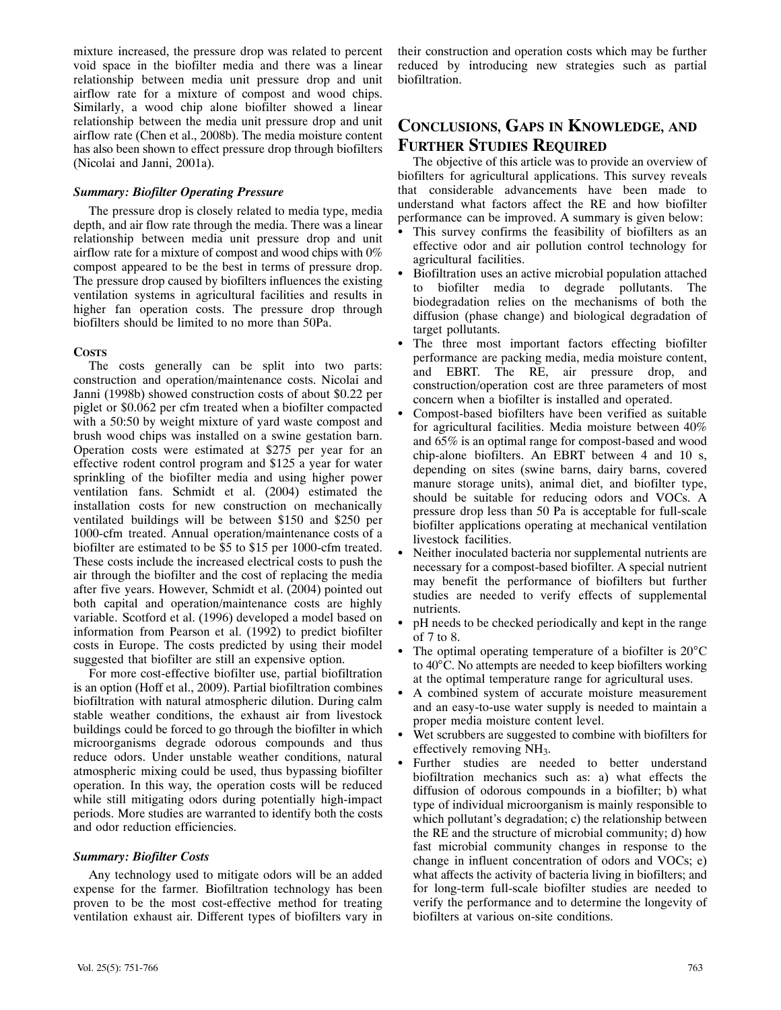mixture increased, the pressure drop was related to percent void space in the biofilter media and there was a linear relationship between media unit pressure drop and unit airflow rate for a mixture of compost and wood chips. Similarly, a wood chip alone biofilter showed a linear relationship between the media unit pressure drop and unit airflow rate (Chen et al., 2008b). The media moisture content has also been shown to effect pressure drop through biofilters (Nicolai and Janni, 2001a).

#### *Summary: Biofilter Operating Pressure*

The pressure drop is closely related to media type, media depth, and air flow rate through the media. There was a linear relationship between media unit pressure drop and unit airflow rate for a mixture of compost and wood chips with 0% compost appeared to be the best in terms of pressure drop. The pressure drop caused by biofilters influences the existing ventilation systems in agricultural facilities and results in higher fan operation costs. The pressure drop through biofilters should be limited to no more than 50Pa.

#### **COSTS**

The costs generally can be split into two parts: construction and operation/maintenance costs. Nicolai and Janni (1998b) showed construction costs of about \$0.22 per piglet or \$0.062 per cfm treated when a biofilter compacted with a 50:50 by weight mixture of yard waste compost and brush wood chips was installed on a swine gestation barn. Operation costs were estimated at \$275 per year for an effective rodent control program and \$125 a year for water sprinkling of the biofilter media and using higher power ventilation fans. Schmidt et al. (2004) estimated the installation costs for new construction on mechanically ventilated buildings will be between \$150 and \$250 per 1000‐cfm treated. Annual operation/maintenance costs of a biofilter are estimated to be \$5 to \$15 per 1000-cfm treated. These costs include the increased electrical costs to push the air through the biofilter and the cost of replacing the media after five years. However, Schmidt et al. (2004) pointed out both capital and operation/maintenance costs are highly variable. Scotford et al. (1996) developed a model based on information from Pearson et al. (1992) to predict biofilter costs in Europe. The costs predicted by using their model suggested that biofilter are still an expensive option.

For more cost-effective biofilter use, partial biofiltration is an option (Hoff et al., 2009). Partial biofiltration combines biofiltration with natural atmospheric dilution. During calm stable weather conditions, the exhaust air from livestock buildings could be forced to go through the biofilter in which microorganisms degrade odorous compounds and thus reduce odors. Under unstable weather conditions, natural atmospheric mixing could be used, thus bypassing biofilter operation. In this way, the operation costs will be reduced while still mitigating odors during potentially high-impact periods. More studies are warranted to identify both the costs and odor reduction efficiencies.

# *Summary: Biofilter Costs*

Any technology used to mitigate odors will be an added expense for the farmer. Biofiltration technology has been proven to be the most cost-effective method for treating ventilation exhaust air. Different types of biofilters vary in

their construction and operation costs which may be further reduced by introducing new strategies such as partial biofiltration.

# **CONCLUSIONS, GAPS IN KNOWLEDGE, AND FURTHER STUDIES REQUIRED**

The objective of this article was to provide an overview of biofilters for agricultural applications. This survey reveals that considerable advancements have been made to understand what factors affect the RE and how biofilter performance can be improved. A summary is given below:

- $\ddot{\bullet}$  This survey confirms the feasibility of biofilters as an effective odor and air pollution control technology for agricultural facilities.
- . Biofiltration uses an active microbial population attached to biofilter media to degrade pollutants. The biodegradation relies on the mechanisms of both the diffusion (phase change) and biological degradation of target pollutants.
- . The three most important factors effecting biofilter performance are packing media, media moisture content, and EBRT. The RE, air pressure drop, and construction/operation cost are three parameters of most concern when a biofilter is installed and operated.
- . Compost‐based biofilters have been verified as suitable for agricultural facilities. Media moisture between 40% and 65% is an optimal range for compost‐based and wood chip-alone biofilters. An EBRT between 4 and 10 s, depending on sites (swine barns, dairy barns, covered manure storage units), animal diet, and biofilter type, should be suitable for reducing odors and VOCs. A pressure drop less than 50 Pa is acceptable for full‐scale biofilter applications operating at mechanical ventilation livestock facilities.
- $\bullet$  Neither inoculated bacteria nor supplemental nutrients are necessary for a compost‐based biofilter. A special nutrient may benefit the performance of biofilters but further studies are needed to verify effects of supplemental nutrients.
- . pH needs to be checked periodically and kept in the range of 7 to 8.
- . The optimal operating temperature of a biofilter is 20°C to 40°C. No attempts are needed to keep biofilters working at the optimal temperature range for agricultural uses.
- $\bullet$  A combined system of accurate moisture measurement and an easy‐to‐use water supply is needed to maintain a proper media moisture content level.
- . Wet scrubbers are suggested to combine with biofilters for effectively removing NH3.
- $\bullet$  Further studies are needed to better understand biofiltration mechanics such as: a) what effects the diffusion of odorous compounds in a biofilter; b) what type of individual microorganism is mainly responsible to which pollutant's degradation; c) the relationship between the RE and the structure of microbial community; d) how fast microbial community changes in response to the change in influent concentration of odors and VOCs; e) what affects the activity of bacteria living in biofilters; and for long‐term full‐scale biofilter studies are needed to verify the performance and to determine the longevity of biofilters at various on‐site conditions.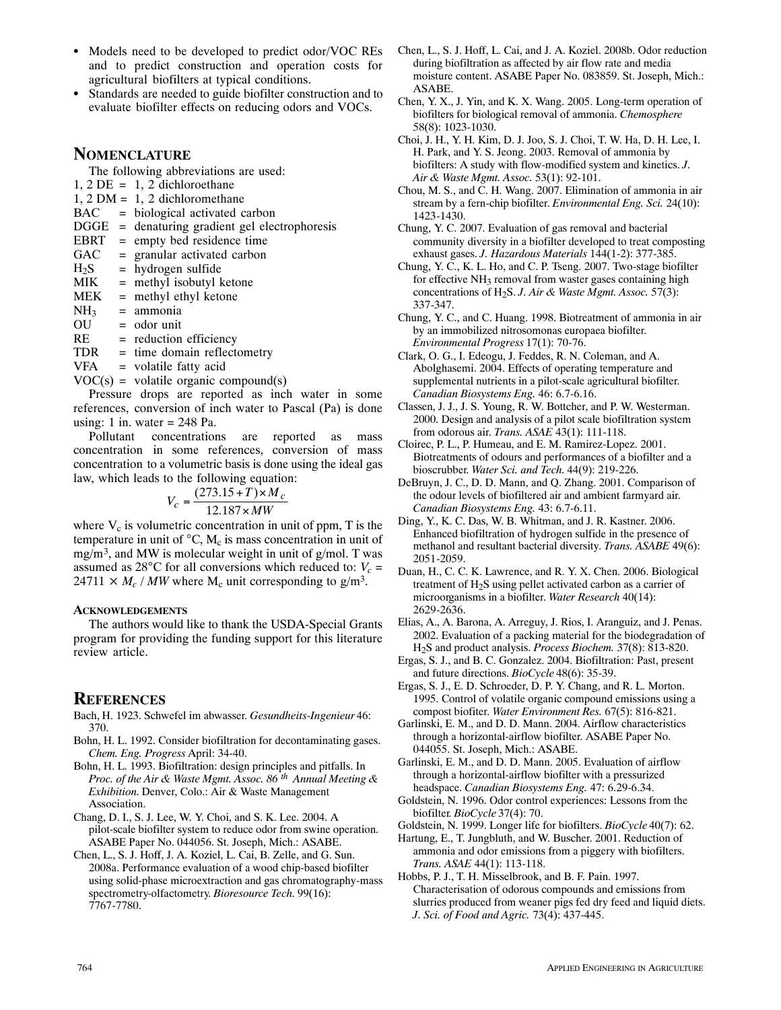- Models need to be developed to predict odor/VOC REs and to predict construction and operation costs for agricultural biofilters at typical conditions.
- . Standards are needed to guide biofilter construction and to evaluate biofilter effects on reducing odors and VOCs.

# **NOMENCLATURE**

The following abbreviations are used:

 $1, 2$  DE = 1, 2 dichloroethane

- 1, 2 DM = 1, 2 dichloromethane
- BAC = biological activated carbon
- DGGE = denaturing gradient gel electrophoresis
- EBRT = empty bed residence time
- $GAC =$  granular activated carbon
- $H_2S$  = hydrogen sulfide<br>MIK = methyl isobutyl k  $=$  methyl isobutyl ketone
- $MEK$  = methyl ethyl ketone
- 
- $NH_3$  = ammonia<br>OU = odor unit  $=$  odor unit
- $RE = reduction efficiency$
- TDR = time domain reflectometry
- $VFA$  = volatile fatty acid
- $VOC(s) =$  volatile organic compound(s)

Pressure drops are reported as inch water in some references, conversion of inch water to Pascal (Pa) is done using: 1 in. water  $= 248$  Pa.

Pollutant concentrations are reported as mass concentration in some references, conversion of mass concentration to a volumetric basis is done using the ideal gas law, which leads to the following equation:

$$
V_c = \frac{(273.15 + T) \times M_c}{12.187 \times MW}
$$

where  $V_c$  is volumetric concentration in unit of ppm, T is the temperature in unit of  $\mathrm{C}$ , M<sub>c</sub> is mass concentration in unit of mg/m3, and MW is molecular weight in unit of g/mol. T was assumed as  $28^{\circ}$ C for all conversions which reduced to:  $V_c$  =  $24711 \times M_c$  / *MW* where M<sub>c</sub> unit corresponding to g/m<sup>3</sup>.

#### **ACKNOWLEDGEMENTS**

The authors would like to thank the USDA‐Special Grants program for providing the funding support for this literature review article.

# **REFERENCES**

- Bach, H. 1923. Schwefel im abwasser. *Gesundheits‐Ingenieur* 46: 370.
- Bohn, H. L. 1992. Consider biofiltration for decontaminating gases. *Chem. Eng. Progress* April: 34*‐*40.
- Bohn, H. L. 1993. Biofiltration: design principles and pitfalls. In *Proc. of the Air & Waste Mgmt. Assoc. 86 th Annual Meeting & Exhibition.* Denver, Colo.: Air & Waste Management Association.
- Chang, D. I., S. J. Lee, W. Y. Choi, and S. K. Lee. 2004. A pilot*‐*scale biofilter system to reduce odor from swine operation. ASABE Paper No. 044056. St. Joseph, Mich.: ASABE.
- Chen, L., S. J. Hoff, J. A. Koziel, L. Cai, B. Zelle, and G. Sun. 2008a. Performance evaluation of a wood chip*‐*based biofilter using solid*‐*phase microextraction and gas chromatography*‐*mass spectrometry*‐*olfactometry. *Bioresource Tech.* 99(16): 7767*‐*7780.
- Chen, L., S. J. Hoff, L. Cai, and J. A. Koziel. 2008b. Odor reduction during biofiltration as affected by air flow rate and media moisture content. ASABE Paper No. 083859. St. Joseph, Mich.: ASABE.
- Chen, Y. X., J. Yin, and K. X. Wang. 2005. Long*‐*term operation of biofilters for biological removal of ammonia. *Chemosphere* 58(8): 1023*‐*1030.
- Choi, J. H., Y. H. Kim, D. J. Joo, S. J. Choi, T. W. Ha, D. H. Lee, I. H. Park, and Y. S. Jeong. 2003. Removal of ammonia by biofilters: A study with flow*‐*modified system and kinetics. *J. Air & Waste Mgmt. Assoc.* 53(1): 92*‐*101.
- Chou, M. S., and C. H. Wang. 2007. Elimination of ammonia in air stream by a fern*‐*chip biofilter. *Environmental Eng. Sci.* 24(10): 1423*‐*1430.
- Chung, Y. C. 2007. Evaluation of gas removal and bacterial community diversity in a biofilter developed to treat composting exhaust gases. *J. Hazardous Materials* 144(1*‐*2): 377*‐*385.
- Chung, Y. C., K. L. Ho, and C. P. Tseng. 2007. Two*‐*stage biofilter for effective NH<sub>3</sub> removal from waster gases containing high concentrations of H2S. *J. Air & Waste Mgmt. Assoc.* 57(3): 337*‐*347.
- Chung, Y. C., and C. Huang. 1998. Biotreatment of ammonia in air by an immobilized nitrosomonas europaea biofilter. *Environmental Progress* 17(1): 70*‐*76.

Clark, O. G., I. Edeogu, J. Feddes, R. N. Coleman, and A. Abolghasemi. 2004. Effects of operating temperature and supplemental nutrients in a pilot*‐*scale agricultural biofilter. *Canadian Biosystems Eng.* 46: 6.7*‐*6.16.

- Classen, J. J., J. S. Young, R. W. Bottcher, and P. W. Westerman. 2000. Design and analysis of a pilot scale biofiltration system from odorous air. *Trans. ASAE* 43(1): 111*‐*118.
- Cloirec, P. L., P. Humeau, and E. M. Ramirez*‐*Lopez. 2001. Biotreatments of odours and performances of a biofilter and a bioscrubber. *Water Sci. and Tech.* 44(9): 219*‐*226.
- DeBruyn, J. C., D. D. Mann, and Q. Zhang. 2001. Comparison of the odour levels of biofiltered air and ambient farmyard air. *Canadian Biosystems Eng.* 43: 6.7*‐*6.11.
- Ding, Y., K. C. Das, W. B. Whitman, and J. R. Kastner. 2006. Enhanced biofiltration of hydrogen sulfide in the presence of methanol and resultant bacterial diversity. *Trans. ASABE* 49(6): 2051*‐*2059.
- Duan, H., C. C. K. Lawrence, and R. Y. X. Chen. 2006. Biological treatment of H2S using pellet activated carbon as a carrier of microorganisms in a biofilter. *Water Research* 40(14): 2629*‐*2636.
- Elias, A., A. Barona, A. Arreguy, J. Rios, I. Aranguiz, and J. Penas. 2002. Evaluation of a packing material for the biodegradation of H2S and product analysis. *Process Biochem.* 37(8): 813*‐*820.
- Ergas, S. J., and B. C. Gonzalez. 2004. Biofiltration: Past, present and future directions. *BioCycle* 48(6): 35*‐*39.
- Ergas, S. J., E. D. Schroeder, D. P. Y. Chang, and R. L. Morton. 1995. Control of volatile organic compound emissions using a compost biofiter. *Water Environment Res.* 67(5): 816*‐*821.
- Garlinski, E. M., and D. D. Mann. 2004. Airflow characteristics through a horizontal*‐*airflow biofilter. ASABE Paper No. 044055. St. Joseph, Mich.: ASABE.
- Garlinski, E. M., and D. D. Mann. 2005. Evaluation of airflow through a horizontal*‐*airflow biofilter with a pressurized headspace. *Canadian Biosystems Eng.* 47: 6.29*‐*6.34.
- Goldstein, N. 1996. Odor control experiences: Lessons from the biofilter. *BioCycle* 37(4): 70.
- Goldstein, N. 1999. Longer life for biofilters. *BioCycle* 40(7): 62.
- Hartung, E., T. Jungbluth, and W. Buscher. 2001. Reduction of ammonia and odor emissions from a piggery with biofilters. *Trans. ASAE* 44(1): 113*‐*118.
- Hobbs, P. J., T. H. Misselbrook, and B. F. Pain. 1997. Characterisation of odorous compounds and emissions from slurries produced from weaner pigs fed dry feed and liquid diets. *J. Sci. of Food and Agric.* 73(4): 437*‐*445.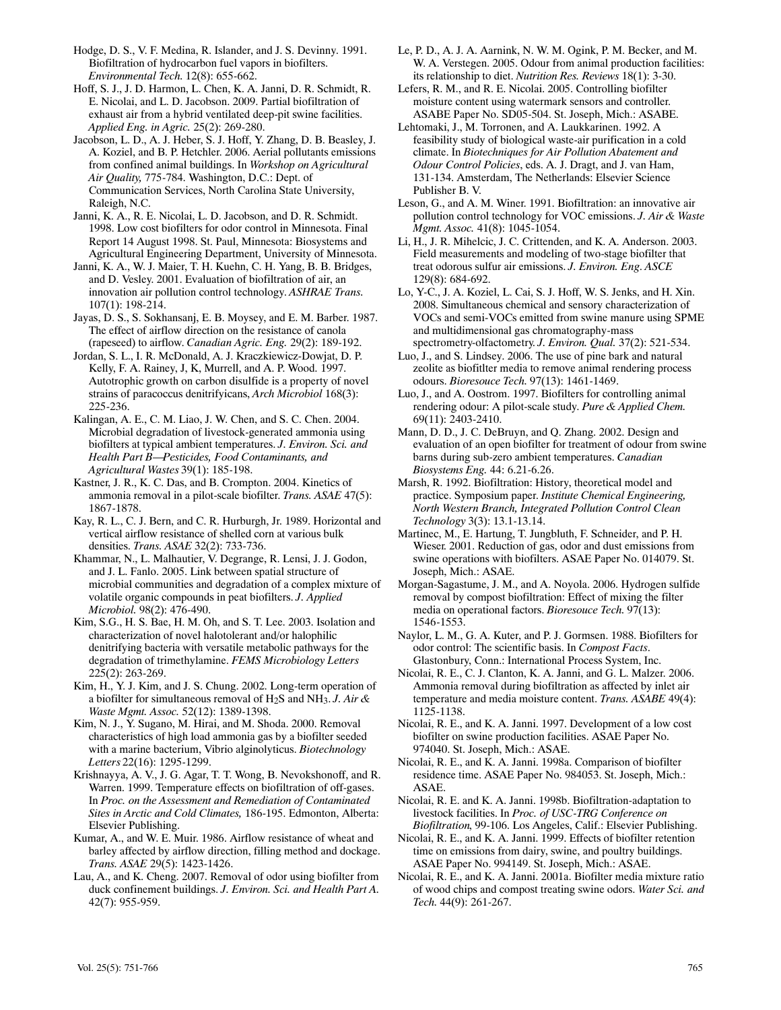Hodge, D. S., V. F. Medina, R. Islander, and J. S. Devinny. 1991. Biofiltration of hydrocarbon fuel vapors in biofilters. *Environmental Tech.* 12(8): 655*‐*662.

Hoff, S. J., J. D. Harmon, L. Chen, K. A. Janni, D. R. Schmidt, R. E. Nicolai, and L. D. Jacobson. 2009. Partial biofiltration of exhaust air from a hybrid ventilated deep*‐*pit swine facilities. *Applied Eng. in Agric.* 25(2): 269*‐*280.

Jacobson, L. D., A. J. Heber, S. J. Hoff, Y. Zhang, D. B. Beasley, J. A. Koziel, and B. P. Hetchler. 2006. Aerial pollutants emissions from confined animal buildings. In *Workshop on Agricultural Air Quality,* 775*‐*784. Washington, D.C.: Dept. of Communication Services, North Carolina State University, Raleigh, N.C.

Janni, K. A., R. E. Nicolai, L. D. Jacobson, and D. R. Schmidt. 1998. Low cost biofilters for odor control in Minnesota. Final Report 14 August 1998. St. Paul, Minnesota: Biosystems and Agricultural Engineering Department, University of Minnesota.

Janni, K. A., W. J. Maier, T. H. Kuehn, C. H. Yang, B. B. Bridges, and D. Vesley. 2001. Evaluation of biofiltration of air, an innovation air pollution control technology. *ASHRAE Trans.* 107(1): 198*‐*214.

Jayas, D. S., S. Sokhansanj, E. B. Moysey, and E. M. Barber. 1987. The effect of airflow direction on the resistance of canola (rapeseed) to airflow. *Canadian Agric. Eng.* 29(2): 189*‐*192.

Jordan, S. L., I. R. McDonald, A. J. Kraczkiewicz*‐*Dowjat, D. P. Kelly, F. A. Rainey, J, K, Murrell, and A. P. Wood. 1997. Autotrophic growth on carbon disulfide is a property of novel strains of paracoccus denitrifyicans, *Arch Microbiol* 168(3): 225*‐*236.

Kalingan, A. E., C. M. Liao, J. W. Chen, and S. C. Chen. 2004. Microbial degradation of livestock*‐*generated ammonia using biofilters at typical ambient temperatures. *J. Environ. Sci. and Health Part B—Pesticides, Food Contaminants, and Agricultural Wastes* 39(1): 185*‐*198.

Kastner, J. R., K. C. Das, and B. Crompton. 2004. Kinetics of ammonia removal in a pilot*‐*scale biofilter. *Trans. ASAE* 47(5): 1867*‐*1878.

Kay, R. L., C. J. Bern, and C. R. Hurburgh, Jr. 1989. Horizontal and vertical airflow resistance of shelled corn at various bulk densities. *Trans. ASAE* 32(2): 733*‐*736.

Khammar, N., L. Malhautier, V. Degrange, R. Lensi, J. J. Godon, and J. L. Fanlo. 2005. Link between spatial structure of microbial communities and degradation of a complex mixture of volatile organic compounds in peat biofilters. *J. Applied Microbiol.* 98(2): 476*‐*490.

Kim, S.G., H. S. Bae, H. M. Oh, and S. T. Lee. 2003. Isolation and characterization of novel halotolerant and/or halophilic denitrifying bacteria with versatile metabolic pathways for the degradation of trimethylamine. *FEMS Microbiology Letters* 225(2): 263*‐*269.

Kim, H., Y. J. Kim, and J. S. Chung. 2002. Long*‐*term operation of a biofilter for simultaneous removal of H2S and NH3. *J. Air & Waste Mgmt. Assoc.* 52(12): 1389*‐*1398.

Kim, N. J., Y. Sugano, M. Hirai, and M. Shoda. 2000. Removal characteristics of high load ammonia gas by a biofilter seeded with a marine bacterium, Vibrio alginolyticus. *Biotechnology Letters* 22(16): 1295*‐*1299.

Krishnayya, A. V., J. G. Agar, T. T. Wong, B. Nevokshonoff, and R. Warren. 1999. Temperature effects on biofiltration of off*‐*gases. In *Proc. on the Assessment and Remediation of Contaminated Sites in Arctic and Cold Climates,* 186*‐*195. Edmonton, Alberta: Elsevier Publishing.

Kumar, A., and W. E. Muir. 1986. Airflow resistance of wheat and barley affected by airflow direction, filling method and dockage. *Trans. ASAE* 29(5): 1423*‐*1426.

Lau, A., and K. Cheng. 2007. Removal of odor using biofilter from duck confinement buildings. *J. Environ. Sci. and Health Part A.* 42(7): 955*‐*959.

Le, P. D., A. J. A. Aarnink, N. W. M. Ogink, P. M. Becker, and M. W. A. Verstegen. 2005. Odour from animal production facilities: its relationship to diet. *Nutrition Res. Reviews* 18(1): 3*‐*30.

Lefers, R. M., and R. E. Nicolai. 2005. Controlling biofilter moisture content using watermark sensors and controller. ASABE Paper No. SD05*‐*504. St. Joseph, Mich.: ASABE.

Lehtomaki, J., M. Torronen, and A. Laukkarinen. 1992. A feasibility study of biological waste*‐*air purification in a cold climate. In *Biotechniques for Air Pollution Abatement and Odour Control Policies*, eds. A. J. Dragt, and J. van Ham, 131*‐*134. Amsterdam, The Netherlands: Elsevier Science Publisher B. V.

Leson, G., and A. M. Winer. 1991. Biofiltration: an innovative air pollution control technology for VOC emissions. *J. Air & Waste Mgmt. Assoc.* 41(8): 1045*‐*1054.

Li, H., J. R. Mihelcic, J. C. Crittenden, and K. A. Anderson. 2003. Field measurements and modeling of two*‐*stage biofilter that treat odorous sulfur air emissions. *J. Environ. Eng*. *ASCE* 129(8): 684*‐*692.

Lo, Y*‐*C., J. A. Koziel, L. Cai, S. J. Hoff, W. S. Jenks, and H. Xin. 2008. Simultaneous chemical and sensory characterization of VOCs and semi*‐*VOCs emitted from swine manure using SPME and multidimensional gas chromatography*‐*mass spectrometry*‐*olfactometry. *J. Environ. Qual.* 37(2): 521*‐*534.

Luo, J., and S. Lindsey. 2006. The use of pine bark and natural zeolite as biofitlter media to remove animal rendering process odours. *Bioresouce Tech.* 97(13): 1461*‐*1469.

Luo, J., and A. Oostrom. 1997. Biofilters for controlling animal rendering odour: A pilot*‐*scale study. *Pure & Applied Chem.* 69(11): 2403*‐*2410.

Mann, D. D., J. C. DeBruyn, and Q. Zhang. 2002. Design and evaluation of an open biofilter for treatment of odour from swine barns during sub*‐*zero ambient temperatures. *Canadian Biosystems Eng.* 44: 6.21*‐*6.26.

Marsh, R. 1992. Biofiltration: History, theoretical model and practice. Symposium paper. *Institute Chemical Engineering, North Western Branch, Integrated Pollution Control Clean Technology* 3(3): 13.1*‐*13.14.

Martinec, M., E. Hartung, T. Jungbluth, F. Schneider, and P. H. Wieser. 2001. Reduction of gas, odor and dust emissions from swine operations with biofilters. ASAE Paper No. 014079. St. Joseph, Mich.: ASAE.

Morgan*‐*Sagastume, J. M., and A. Noyola. 2006. Hydrogen sulfide removal by compost biofiltration: Effect of mixing the filter media on operational factors. *Bioresouce Tech.* 97(13): 1546*‐*1553.

Naylor, L. M., G. A. Kuter, and P. J. Gormsen. 1988. Biofilters for odor control: The scientific basis. In *Compost Facts*. Glastonbury, Conn.: International Process System, Inc.

Nicolai, R. E., C. J. Clanton, K. A. Janni, and G. L. Malzer. 2006. Ammonia removal during biofiltration as affected by inlet air temperature and media moisture content. *Trans. ASABE* 49(4): 1125*‐*1138.

Nicolai, R. E., and K. A. Janni. 1997. Development of a low cost biofilter on swine production facilities. ASAE Paper No. 974040. St. Joseph, Mich.: ASAE.

Nicolai, R. E., and K. A. Janni. 1998a. Comparison of biofilter residence time. ASAE Paper No. 984053. St. Joseph, Mich.: ASAE.

Nicolai, R. E. and K. A. Janni. 1998b. Biofiltration*‐*adaptation to livestock facilities. In *Proc. of USC‐TRG Conference on Biofiltration*, 99*‐*106. Los Angeles, Calif.: Elsevier Publishing.

Nicolai, R. E., and K. A. Janni. 1999. Effects of biofilter retention time on emissions from dairy, swine, and poultry buildings. ASAE Paper No. 994149. St. Joseph, Mich.: ASAE.

Nicolai, R. E., and K. A. Janni. 2001a. Biofilter media mixture ratio of wood chips and compost treating swine odors. *Water Sci. and Tech.* 44(9): 261*‐*267.